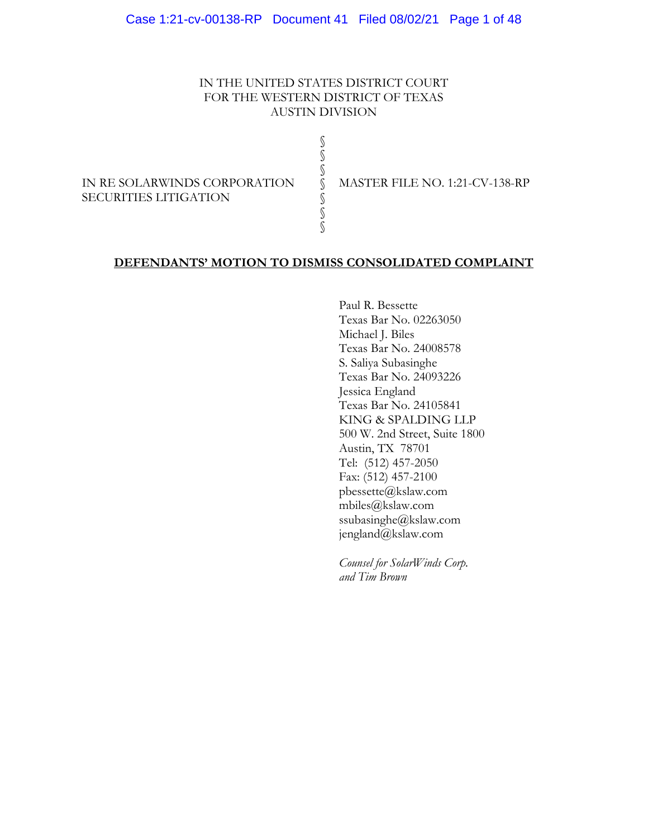### IN THE UNITED STATES DISTRICT COURT FOR THE WESTERN DISTRICT OF TEXAS AUSTIN DIVISION

§ § § § § § §

IN RE SOLARWINDS CORPORATION SECURITIES LITIGATION

MASTER FILE NO. 1:21-CV-138-RP

### **DEFENDANTS' MOTION TO DISMISS CONSOLIDATED COMPLAINT**

 Paul R. Bessette Texas Bar No. 02263050 Michael J. Biles Texas Bar No. 24008578 S. Saliya Subasinghe Texas Bar No. 24093226 Jessica England Texas Bar No. 24105841 KING & SPALDING LLP 500 W. 2nd Street, Suite 1800 Austin, TX 78701 Tel: (512) 457-2050 Fax: (512) 457-2100 pbessette@kslaw.com mbiles@kslaw.com ssubasinghe@kslaw.com jengland@kslaw.com

*Counsel for SolarWinds Corp. and Tim Brown*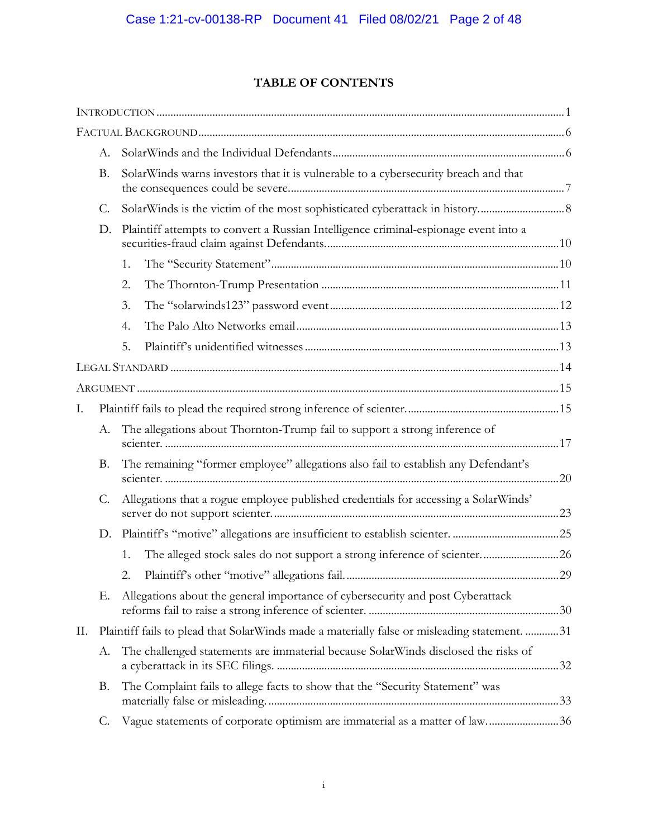# **TABLE OF CONTENTS**

|    | A.        |                                                                                      |                                                                                              |  |  |  |
|----|-----------|--------------------------------------------------------------------------------------|----------------------------------------------------------------------------------------------|--|--|--|
|    | <b>B.</b> |                                                                                      | SolarWinds warns investors that it is vulnerable to a cybersecurity breach and that          |  |  |  |
|    | C.        |                                                                                      |                                                                                              |  |  |  |
|    | D.        | Plaintiff attempts to convert a Russian Intelligence criminal-espionage event into a |                                                                                              |  |  |  |
|    |           | 1.                                                                                   |                                                                                              |  |  |  |
|    |           | 2.                                                                                   |                                                                                              |  |  |  |
|    |           | 3.                                                                                   |                                                                                              |  |  |  |
|    |           | 4.                                                                                   |                                                                                              |  |  |  |
|    |           | 5.                                                                                   |                                                                                              |  |  |  |
|    |           |                                                                                      |                                                                                              |  |  |  |
|    |           |                                                                                      |                                                                                              |  |  |  |
| Ι. |           |                                                                                      |                                                                                              |  |  |  |
|    | А.        |                                                                                      | The allegations about Thornton-Trump fail to support a strong inference of                   |  |  |  |
|    | <b>B.</b> |                                                                                      | The remaining "former employee" allegations also fail to establish any Defendant's           |  |  |  |
|    | C.        |                                                                                      | Allegations that a rogue employee published credentials for accessing a SolarWinds'          |  |  |  |
|    | D.        |                                                                                      |                                                                                              |  |  |  |
|    |           | 1.                                                                                   |                                                                                              |  |  |  |
|    |           | 2.                                                                                   |                                                                                              |  |  |  |
|    | Е.        |                                                                                      | Allegations about the general importance of cybersecurity and post Cyberattack               |  |  |  |
| П. |           |                                                                                      | Plaintiff fails to plead that SolarWinds made a materially false or misleading statement. 31 |  |  |  |
|    | А.        |                                                                                      | The challenged statements are immaterial because SolarWinds disclosed the risks of           |  |  |  |
|    | <b>B.</b> |                                                                                      | The Complaint fails to allege facts to show that the "Security Statement" was                |  |  |  |
|    | C.        |                                                                                      | Vague statements of corporate optimism are immaterial as a matter of law36                   |  |  |  |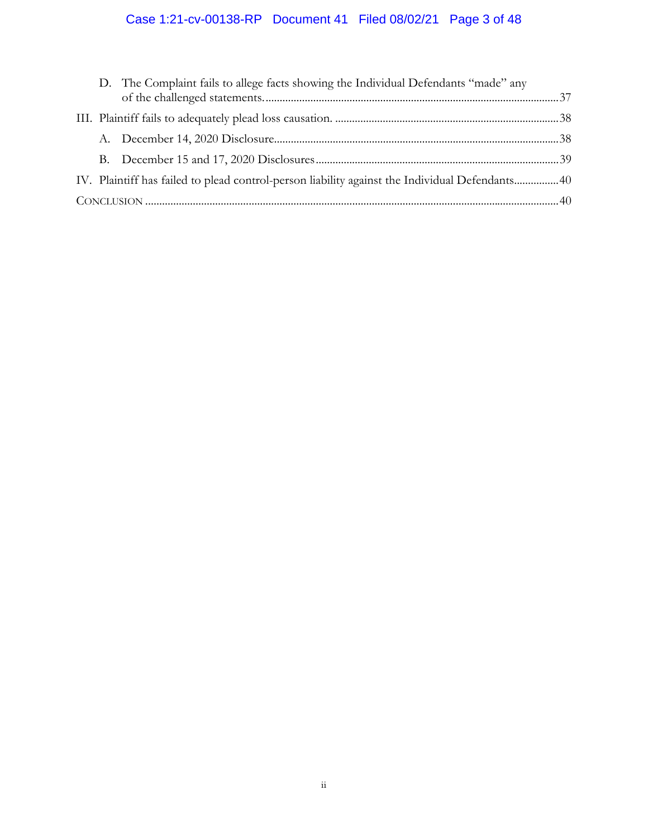# Case 1:21-cv-00138-RP Document 41 Filed 08/02/21 Page 3 of 48

|  | D. The Complaint fails to allege facts showing the Individual Defendants "made" any             |  |
|--|-------------------------------------------------------------------------------------------------|--|
|  |                                                                                                 |  |
|  |                                                                                                 |  |
|  |                                                                                                 |  |
|  | IV. Plaintiff has failed to plead control-person liability against the Individual Defendants 40 |  |
|  |                                                                                                 |  |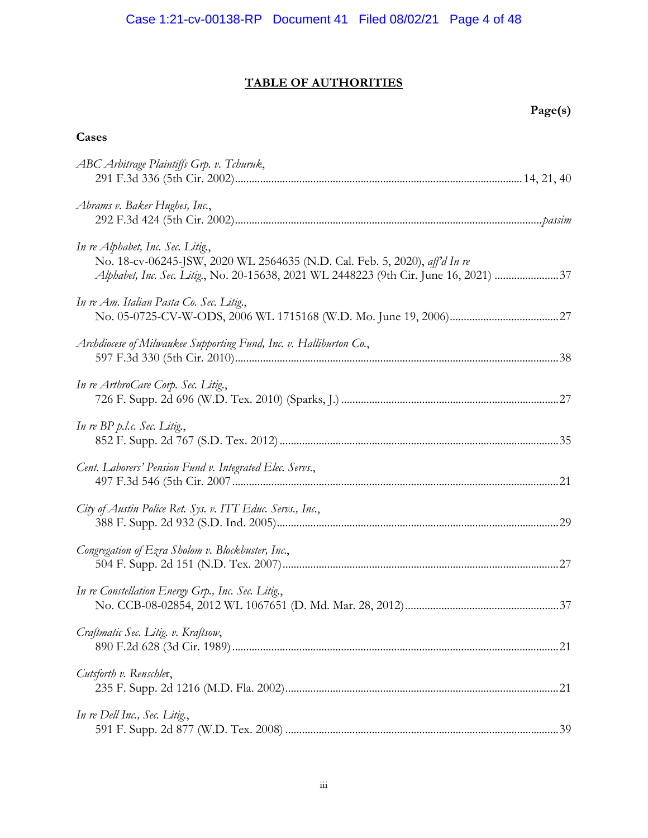# **TABLE OF AUTHORITIES**

# **Page(s)**

# **Cases**

| ABC Arbitrage Plaintiffs Grp. v. Tchuruk,                                                                                                                                                                |
|----------------------------------------------------------------------------------------------------------------------------------------------------------------------------------------------------------|
| Abrams v. Baker Hughes, Inc.,                                                                                                                                                                            |
| In re Alphabet, Inc. Sec. Litig.,<br>No. 18-cv-06245-JSW, 2020 WL 2564635 (N.D. Cal. Feb. 5, 2020), aff'd In re<br>Alphabet, Inc. Sec. Litig., No. 20-15638, 2021 WL 2448223 (9th Cir. June 16, 2021) 37 |
| In re Am. Italian Pasta Co. Sec. Litig.,                                                                                                                                                                 |
| Archdiocese of Milwaukee Supporting Fund, Inc. v. Halliburton Co.,                                                                                                                                       |
| In re ArthroCare Corp. Sec. Litig.,                                                                                                                                                                      |
| In re BP p.l.c. Sec. Litig.,                                                                                                                                                                             |
| Cent. Laborers' Pension Fund v. Integrated Elec. Servs.,                                                                                                                                                 |
| City of Austin Police Ret. Sys. v. ITT Educ. Servs., Inc.,                                                                                                                                               |
| Congregation of Ezra Sholom v. Blockbuster, Inc.,                                                                                                                                                        |
| In re Constellation Energy Grp., Inc. Sec. Litig.,                                                                                                                                                       |
| Craftmatic Sec. Litig. v. Kraftsow,                                                                                                                                                                      |
| Cutsforth v. Renschler,                                                                                                                                                                                  |
| In re Dell Inc., Sec. Litig.,                                                                                                                                                                            |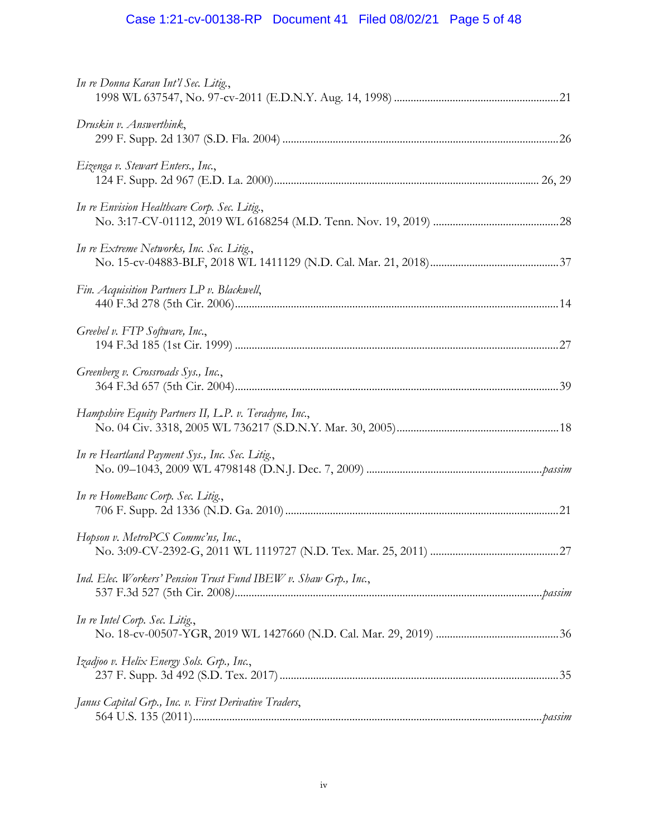# Case 1:21-cv-00138-RP Document 41 Filed 08/02/21 Page 5 of 48

| In re Donna Karan Int'l Sec. Litig.,                            |  |
|-----------------------------------------------------------------|--|
| Druskin v. Answerthink,                                         |  |
| Eizenga v. Stewart Enters., Inc.,                               |  |
| In re Envision Healthcare Corp. Sec. Litig.,                    |  |
| In re Extreme Networks, Inc. Sec. Litig.,                       |  |
| Fin. Acquisition Partners LP v. Blackwell,                      |  |
| Greebel v. FTP Software, Inc.,                                  |  |
| Greenberg v. Crossroads Sys., Inc.,                             |  |
| Hampshire Equity Partners II, L.P. v. Teradyne, Inc.,           |  |
| In re Heartland Payment Sys., Inc. Sec. Litig.,                 |  |
| In re HomeBanc Corp. Sec. Litig.,                               |  |
| Hopson v. MetroPCS Commc'ns, Inc.,                              |  |
| Ind. Elec. Workers' Pension Trust Fund IBEW v. Shaw Grp., Inc., |  |
| In re Intel Corp. Sec. Litig.,                                  |  |
| Izadjoo v. Helix Energy Sols. Grp., Inc.,                       |  |
| Janus Capital Grp., Inc. v. First Derivative Traders,           |  |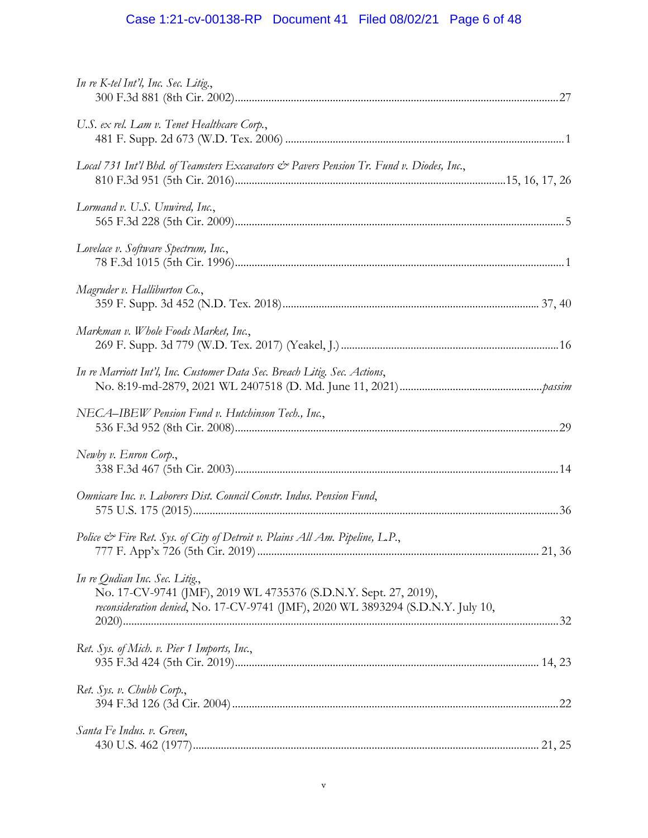# Case 1:21-cv-00138-RP Document 41 Filed 08/02/21 Page 6 of 48

| In re K-tel Int'l, Inc. Sec. Litig.,                                                                                                                                                   |
|----------------------------------------------------------------------------------------------------------------------------------------------------------------------------------------|
| U.S. ex rel. Lam v. Tenet Healthcare Corp.,                                                                                                                                            |
| Local 731 Int'l Bhd. of Teamsters Excavators & Pavers Pension Tr. Fund v. Diodes, Inc.,                                                                                                |
| Lormand v. U.S. Unwired, Inc.,                                                                                                                                                         |
| Lovelace v. Software Spectrum, Inc.,                                                                                                                                                   |
| Magruder v. Halliburton Co.,                                                                                                                                                           |
| Markman v. Whole Foods Market, Inc.,                                                                                                                                                   |
| In re Marriott Int'l, Inc. Customer Data Sec. Breach Litig. Sec. Actions,                                                                                                              |
| NECA-IBEW Pension Fund v. Hutchinson Tech., Inc.,                                                                                                                                      |
| Newby v. Enron Corp.,                                                                                                                                                                  |
| Omnicare Inc. v. Laborers Dist. Council Constr. Indus. Pension Fund,                                                                                                                   |
| Police & Fire Ret. Sys. of City of Detroit v. Plains All Am. Pipeline, L.P.,                                                                                                           |
| In re Qudian Inc. Sec. Litig.,<br>No. 17-CV-9741 (JMF), 2019 WL 4735376 (S.D.N.Y. Sept. 27, 2019),<br>reconsideration denied, No. 17-CV-9741 (JMF), 2020 WL 3893294 (S.D.N.Y. July 10, |
| Ret. Sys. of Mich. v. Pier 1 Imports, Inc.,                                                                                                                                            |
| Ret. Sys. v. Chubb Corp.,                                                                                                                                                              |
| Santa Fe Indus. v. Green,                                                                                                                                                              |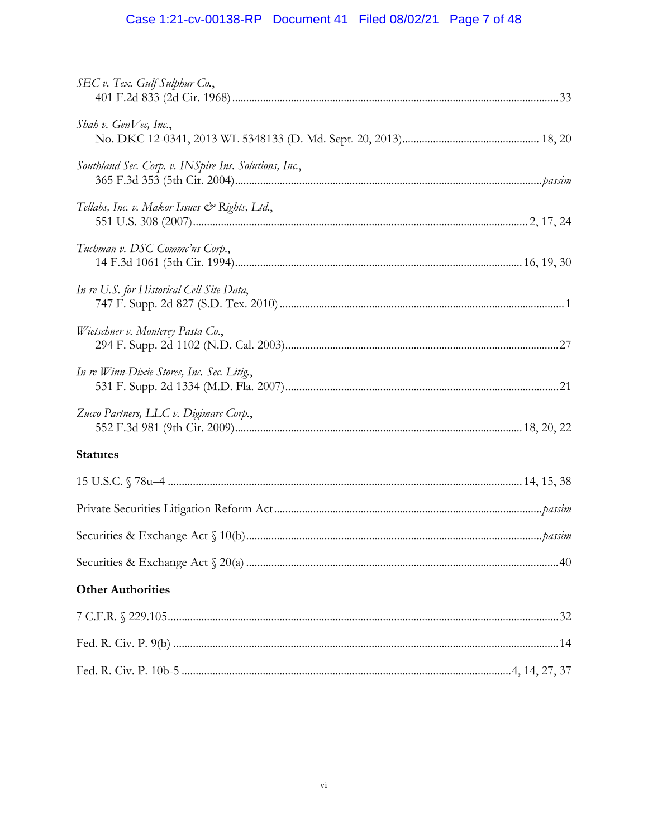# Case 1:21-cv-00138-RP Document 41 Filed 08/02/21 Page 7 of 48

| SEC v. Tex. Gulf Sulphur Co.,                                                                                                                                                                                                                                                                                                                                                                                                                          |  |
|--------------------------------------------------------------------------------------------------------------------------------------------------------------------------------------------------------------------------------------------------------------------------------------------------------------------------------------------------------------------------------------------------------------------------------------------------------|--|
| Shah v. Gen $Ve$ c, Inc.,                                                                                                                                                                                                                                                                                                                                                                                                                              |  |
| Southland Sec. Corp. v. INSpire Ins. Solutions, Inc.,                                                                                                                                                                                                                                                                                                                                                                                                  |  |
| Tellabs, Inc. v. Makor Issues & Rights, Ltd.,                                                                                                                                                                                                                                                                                                                                                                                                          |  |
| Tuchman v. DSC Comme'ns Corp.,                                                                                                                                                                                                                                                                                                                                                                                                                         |  |
| In re U.S. for Historical Cell Site Data,                                                                                                                                                                                                                                                                                                                                                                                                              |  |
| Wietschner v. Monterey Pasta Co.,                                                                                                                                                                                                                                                                                                                                                                                                                      |  |
| In re Winn-Dixie Stores, Inc. Sec. Litig.,                                                                                                                                                                                                                                                                                                                                                                                                             |  |
| Zucco Partners, LLC v. Digimarc Corp.,                                                                                                                                                                                                                                                                                                                                                                                                                 |  |
| <b>Statutes</b>                                                                                                                                                                                                                                                                                                                                                                                                                                        |  |
|                                                                                                                                                                                                                                                                                                                                                                                                                                                        |  |
|                                                                                                                                                                                                                                                                                                                                                                                                                                                        |  |
|                                                                                                                                                                                                                                                                                                                                                                                                                                                        |  |
| $\text{Securities}~\&~\text{Exchange}~\text{Act}~\S~20(a)~\dots\hspace*{-.2cm}\dots\hspace*{-.2cm}\dots\hspace*{-.2cm}\dots\hspace*{-.2cm}\dots\hspace*{-.2cm}\dots\hspace*{-.2cm}\dots\hspace*{-.2cm}\dots\hspace*{-.2cm}\dots\hspace*{-.2cm}\dots\hspace*{-.2cm}\dots\hspace*{-.2cm}\dots\hspace*{-.2cm}\dots\hspace*{-.2cm}\dots\hspace*{-.2cm}\dots\hspace*{-.2cm}\dots\hspace*{-.2cm}\dots\hspace*{-.2cm}\dots\hspace*{-.2cm}\dots\hspace*{-.2cm$ |  |
| <b>Other Authorities</b>                                                                                                                                                                                                                                                                                                                                                                                                                               |  |
|                                                                                                                                                                                                                                                                                                                                                                                                                                                        |  |
|                                                                                                                                                                                                                                                                                                                                                                                                                                                        |  |
|                                                                                                                                                                                                                                                                                                                                                                                                                                                        |  |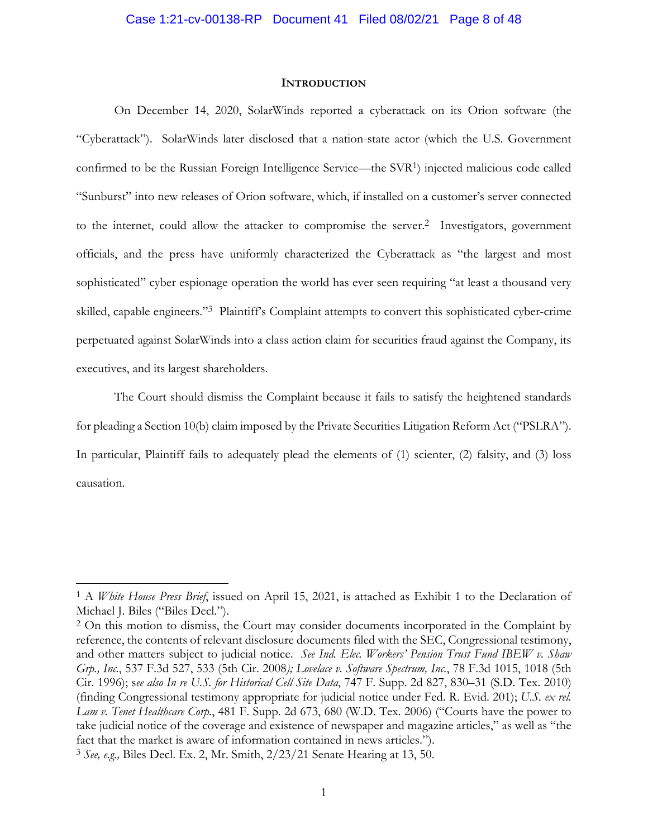#### **INTRODUCTION**

On December 14, 2020, SolarWinds reported a cyberattack on its Orion software (the "Cyberattack"). SolarWinds later disclosed that a nation-state actor (which the U.S. Government confirmed to be the Russian Foreign Intelligence Service—the SVR1) injected malicious code called "Sunburst" into new releases of Orion software, which, if installed on a customer's server connected to the internet, could allow the attacker to compromise the server.<sup>2</sup> Investigators, government officials, and the press have uniformly characterized the Cyberattack as "the largest and most sophisticated" cyber espionage operation the world has ever seen requiring "at least a thousand very skilled, capable engineers."3 Plaintiff's Complaint attempts to convert this sophisticated cyber-crime perpetuated against SolarWinds into a class action claim for securities fraud against the Company, its executives, and its largest shareholders.

The Court should dismiss the Complaint because it fails to satisfy the heightened standards for pleading a Section 10(b) claim imposed by the Private Securities Litigation Reform Act ("PSLRA"). In particular, Plaintiff fails to adequately plead the elements of (1) scienter, (2) falsity, and (3) loss causation.

<sup>1</sup> A *White House Press Brief*, issued on April 15, 2021, is attached as Exhibit 1 to the Declaration of Michael J. Biles ("Biles Decl.").

<sup>&</sup>lt;sup>2</sup> On this motion to dismiss, the Court may consider documents incorporated in the Complaint by reference, the contents of relevant disclosure documents filed with the SEC, Congressional testimony, and other matters subject to judicial notice. *See Ind. Elec. Workers' Pension Trust Fund IBEW v. Shaw Grp., Inc.*, 537 F.3d 527, 533 (5th Cir. 2008*); Lovelace v. Software Spectrum, Inc.*, 78 F.3d 1015, 1018 (5th Cir. 1996); s*ee also In re U.S. for Historical Cell Site Data*, 747 F. Supp. 2d 827, 830–31 (S.D. Tex. 2010) (finding Congressional testimony appropriate for judicial notice under Fed. R. Evid. 201); *U.S. ex rel. Lam v. Tenet Healthcare Corp.*, 481 F. Supp. 2d 673, 680 (W.D. Tex. 2006) ("Courts have the power to take judicial notice of the coverage and existence of newspaper and magazine articles," as well as "the fact that the market is aware of information contained in news articles.").

<sup>3</sup> *See, e.g.,* Biles Decl. Ex. 2, Mr. Smith, 2/23/21 Senate Hearing at 13, 50.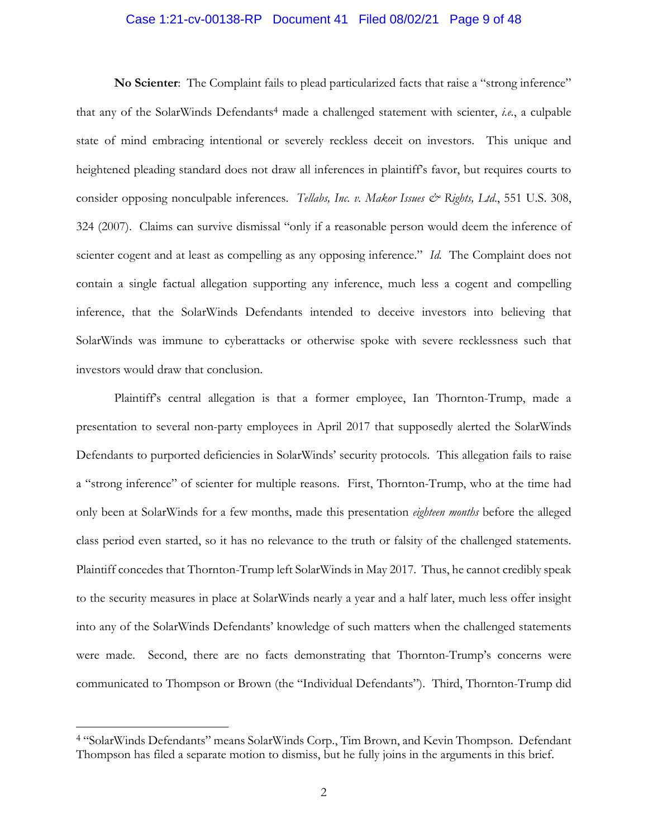# Case 1:21-cv-00138-RP Document 41 Filed 08/02/21 Page 9 of 48

**No Scienter**: The Complaint fails to plead particularized facts that raise a "strong inference" that any of the SolarWinds Defendants<sup>4</sup> made a challenged statement with scienter, *i.e.*, a culpable state of mind embracing intentional or severely reckless deceit on investors. This unique and heightened pleading standard does not draw all inferences in plaintiff's favor, but requires courts to consider opposing nonculpable inferences. *Tellabs, Inc. v. Makor Issues & Rights, Ltd.*, 551 U.S. 308, 324 (2007). Claims can survive dismissal "only if a reasonable person would deem the inference of scienter cogent and at least as compelling as any opposing inference." *Id.* The Complaint does not contain a single factual allegation supporting any inference, much less a cogent and compelling inference, that the SolarWinds Defendants intended to deceive investors into believing that SolarWinds was immune to cyberattacks or otherwise spoke with severe recklessness such that investors would draw that conclusion.

Plaintiff's central allegation is that a former employee, Ian Thornton-Trump, made a presentation to several non-party employees in April 2017 that supposedly alerted the SolarWinds Defendants to purported deficiencies in SolarWinds' security protocols. This allegation fails to raise a "strong inference" of scienter for multiple reasons. First, Thornton-Trump, who at the time had only been at SolarWinds for a few months, made this presentation *eighteen months* before the alleged class period even started, so it has no relevance to the truth or falsity of the challenged statements. Plaintiff concedes that Thornton-Trump left SolarWinds in May 2017. Thus, he cannot credibly speak to the security measures in place at SolarWinds nearly a year and a half later, much less offer insight into any of the SolarWinds Defendants' knowledge of such matters when the challenged statements were made. Second, there are no facts demonstrating that Thornton-Trump's concerns were communicated to Thompson or Brown (the "Individual Defendants"). Third, Thornton-Trump did

<sup>4 &</sup>quot;SolarWinds Defendants" means SolarWinds Corp., Tim Brown, and Kevin Thompson. Defendant Thompson has filed a separate motion to dismiss, but he fully joins in the arguments in this brief.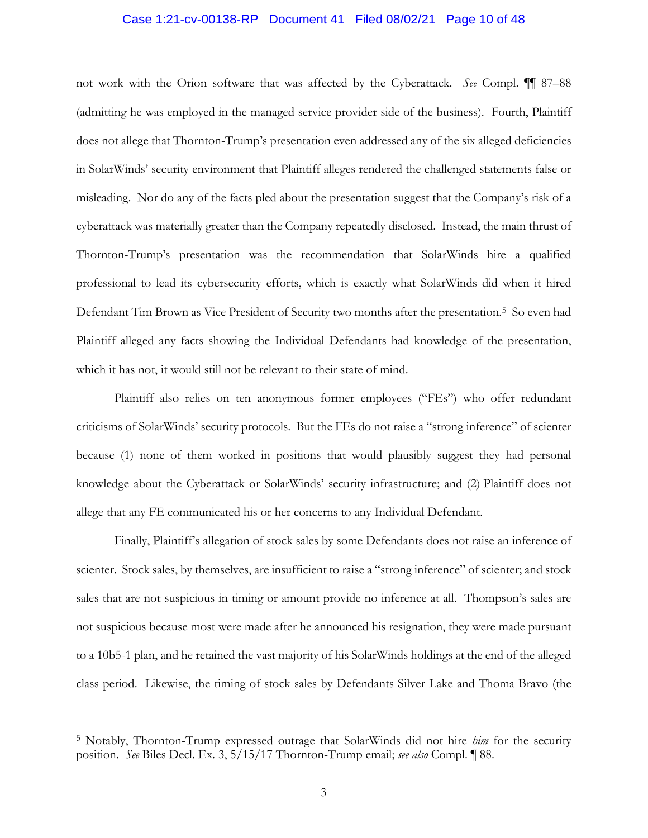# Case 1:21-cv-00138-RP Document 41 Filed 08/02/21 Page 10 of 48

not work with the Orion software that was affected by the Cyberattack. *See* Compl. ¶¶ 87–88 (admitting he was employed in the managed service provider side of the business). Fourth, Plaintiff does not allege that Thornton-Trump's presentation even addressed any of the six alleged deficiencies in SolarWinds' security environment that Plaintiff alleges rendered the challenged statements false or misleading. Nor do any of the facts pled about the presentation suggest that the Company's risk of a cyberattack was materially greater than the Company repeatedly disclosed. Instead, the main thrust of Thornton-Trump's presentation was the recommendation that SolarWinds hire a qualified professional to lead its cybersecurity efforts, which is exactly what SolarWinds did when it hired Defendant Tim Brown as Vice President of Security two months after the presentation.<sup>5</sup> So even had Plaintiff alleged any facts showing the Individual Defendants had knowledge of the presentation, which it has not, it would still not be relevant to their state of mind.

Plaintiff also relies on ten anonymous former employees ("FEs") who offer redundant criticisms of SolarWinds' security protocols. But the FEs do not raise a "strong inference" of scienter because (1) none of them worked in positions that would plausibly suggest they had personal knowledge about the Cyberattack or SolarWinds' security infrastructure; and (2) Plaintiff does not allege that any FE communicated his or her concerns to any Individual Defendant.

Finally, Plaintiff's allegation of stock sales by some Defendants does not raise an inference of scienter. Stock sales, by themselves, are insufficient to raise a "strong inference" of scienter; and stock sales that are not suspicious in timing or amount provide no inference at all. Thompson's sales are not suspicious because most were made after he announced his resignation, they were made pursuant to a 10b5-1 plan, and he retained the vast majority of his SolarWinds holdings at the end of the alleged class period. Likewise, the timing of stock sales by Defendants Silver Lake and Thoma Bravo (the

<sup>5</sup> Notably, Thornton-Trump expressed outrage that SolarWinds did not hire *him* for the security position. *See* Biles Decl. Ex. 3, 5/15/17 Thornton-Trump email; *see also* Compl. ¶ 88.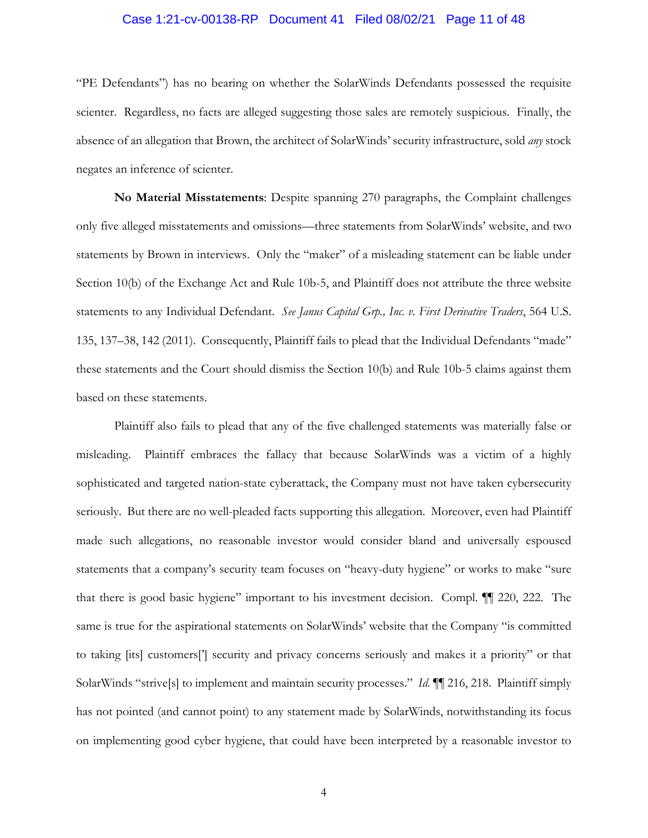# Case 1:21-cv-00138-RP Document 41 Filed 08/02/21 Page 11 of 48

"PE Defendants") has no bearing on whether the SolarWinds Defendants possessed the requisite scienter. Regardless, no facts are alleged suggesting those sales are remotely suspicious. Finally, the absence of an allegation that Brown, the architect of SolarWinds' security infrastructure, sold *any* stock negates an inference of scienter.

**No Material Misstatements**: Despite spanning 270 paragraphs, the Complaint challenges only five alleged misstatements and omissions—three statements from SolarWinds' website, and two statements by Brown in interviews. Only the "maker" of a misleading statement can be liable under Section 10(b) of the Exchange Act and Rule 10b-5, and Plaintiff does not attribute the three website statements to any Individual Defendant. *See Janus Capital Grp., Inc. v. First Derivative Traders*, 564 U.S. 135, 137–38, 142 (2011). Consequently, Plaintiff fails to plead that the Individual Defendants "made" these statements and the Court should dismiss the Section 10(b) and Rule 10b-5 claims against them based on these statements.

Plaintiff also fails to plead that any of the five challenged statements was materially false or misleading. Plaintiff embraces the fallacy that because SolarWinds was a victim of a highly sophisticated and targeted nation-state cyberattack, the Company must not have taken cybersecurity seriously. But there are no well-pleaded facts supporting this allegation. Moreover, even had Plaintiff made such allegations, no reasonable investor would consider bland and universally espoused statements that a company's security team focuses on "heavy-duty hygiene" or works to make "sure that there is good basic hygiene" important to his investment decision. Compl. ¶¶ 220, 222. The same is true for the aspirational statements on SolarWinds' website that the Company "is committed to taking [its] customers['] security and privacy concerns seriously and makes it a priority" or that SolarWinds "strive[s] to implement and maintain security processes." *Id. ¶*¶ 216, 218. Plaintiff simply has not pointed (and cannot point) to any statement made by SolarWinds, notwithstanding its focus on implementing good cyber hygiene, that could have been interpreted by a reasonable investor to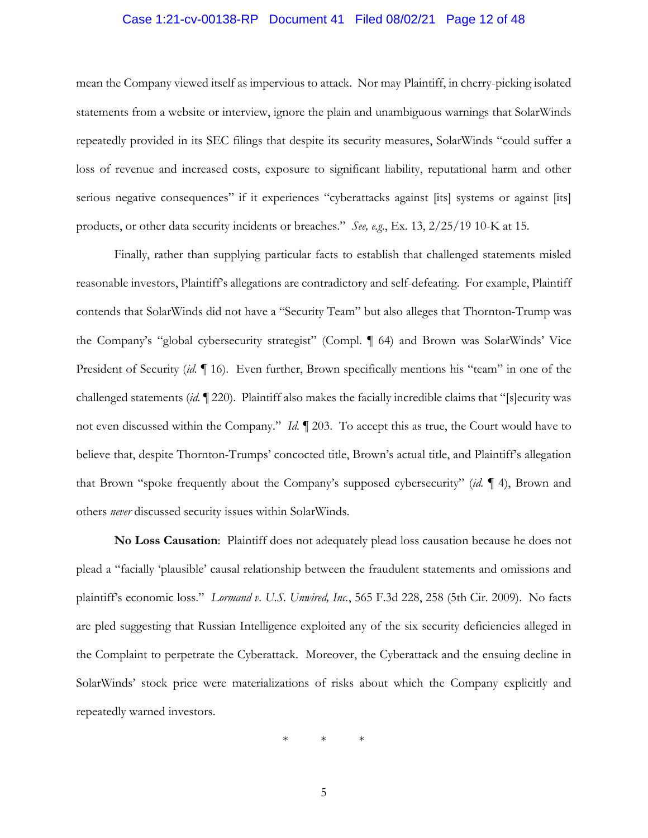# Case 1:21-cv-00138-RP Document 41 Filed 08/02/21 Page 12 of 48

mean the Company viewed itself as impervious to attack. Nor may Plaintiff, in cherry-picking isolated statements from a website or interview, ignore the plain and unambiguous warnings that SolarWinds repeatedly provided in its SEC filings that despite its security measures, SolarWinds "could suffer a loss of revenue and increased costs, exposure to significant liability, reputational harm and other serious negative consequences" if it experiences "cyberattacks against [its] systems or against [its] products, or other data security incidents or breaches." *See, e.g.*, Ex. 13, 2/25/19 10-K at 15.

Finally, rather than supplying particular facts to establish that challenged statements misled reasonable investors, Plaintiff's allegations are contradictory and self-defeating. For example, Plaintiff contends that SolarWinds did not have a "Security Team" but also alleges that Thornton-Trump was the Company's "global cybersecurity strategist" (Compl. ¶ 64) and Brown was SolarWinds' Vice President of Security (*id.* ¶ 16). Even further, Brown specifically mentions his "team" in one of the challenged statements (*id.* ¶ 220). Plaintiff also makes the facially incredible claims that "[s]ecurity was not even discussed within the Company." *Id.* ¶ 203. To accept this as true, the Court would have to believe that, despite Thornton-Trumps' concocted title, Brown's actual title, and Plaintiff's allegation that Brown "spoke frequently about the Company's supposed cybersecurity" (*id.* ¶ 4), Brown and others *never* discussed security issues within SolarWinds.

**No Loss Causation**: Plaintiff does not adequately plead loss causation because he does not plead a "facially 'plausible' causal relationship between the fraudulent statements and omissions and plaintiff's economic loss." *Lormand v. U.S. Unwired, Inc.*, 565 F.3d 228, 258 (5th Cir. 2009). No facts are pled suggesting that Russian Intelligence exploited any of the six security deficiencies alleged in the Complaint to perpetrate the Cyberattack. Moreover, the Cyberattack and the ensuing decline in SolarWinds' stock price were materializations of risks about which the Company explicitly and repeatedly warned investors.

\* \* \*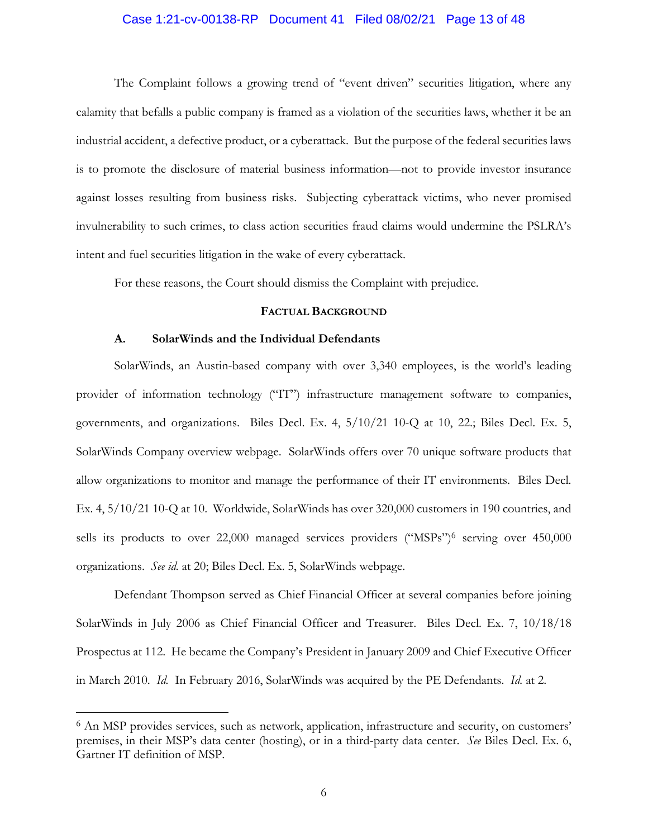# Case 1:21-cv-00138-RP Document 41 Filed 08/02/21 Page 13 of 48

The Complaint follows a growing trend of "event driven" securities litigation, where any calamity that befalls a public company is framed as a violation of the securities laws, whether it be an industrial accident, a defective product, or a cyberattack. But the purpose of the federal securities laws is to promote the disclosure of material business information—not to provide investor insurance against losses resulting from business risks. Subjecting cyberattack victims, who never promised invulnerability to such crimes, to class action securities fraud claims would undermine the PSLRA's intent and fuel securities litigation in the wake of every cyberattack.

For these reasons, the Court should dismiss the Complaint with prejudice.

#### **FACTUAL BACKGROUND**

#### **A. SolarWinds and the Individual Defendants**

 SolarWinds, an Austin-based company with over 3,340 employees, is the world's leading provider of information technology ("IT") infrastructure management software to companies, governments, and organizations. Biles Decl. Ex. 4, 5/10/21 10-Q at 10, 22.; Biles Decl. Ex. 5, SolarWinds Company overview webpage. SolarWinds offers over 70 unique software products that allow organizations to monitor and manage the performance of their IT environments. Biles Decl. Ex. 4, 5/10/21 10-Q at 10. Worldwide, SolarWinds has over 320,000 customers in 190 countries, and sells its products to over 22,000 managed services providers ("MSPs")6 serving over 450,000 organizations. *See id.* at 20; Biles Decl. Ex. 5, SolarWinds webpage.

 Defendant Thompson served as Chief Financial Officer at several companies before joining SolarWinds in July 2006 as Chief Financial Officer and Treasurer. Biles Decl. Ex. 7, 10/18/18 Prospectus at 112. He became the Company's President in January 2009 and Chief Executive Officer in March 2010. *Id.* In February 2016, SolarWinds was acquired by the PE Defendants. *Id.* at 2.

<sup>6</sup> An MSP provides services, such as network, application, infrastructure and security, on customers' premises, in their MSP's data center (hosting), or in a third-party data center. *See* Biles Decl. Ex. 6, Gartner IT definition of MSP.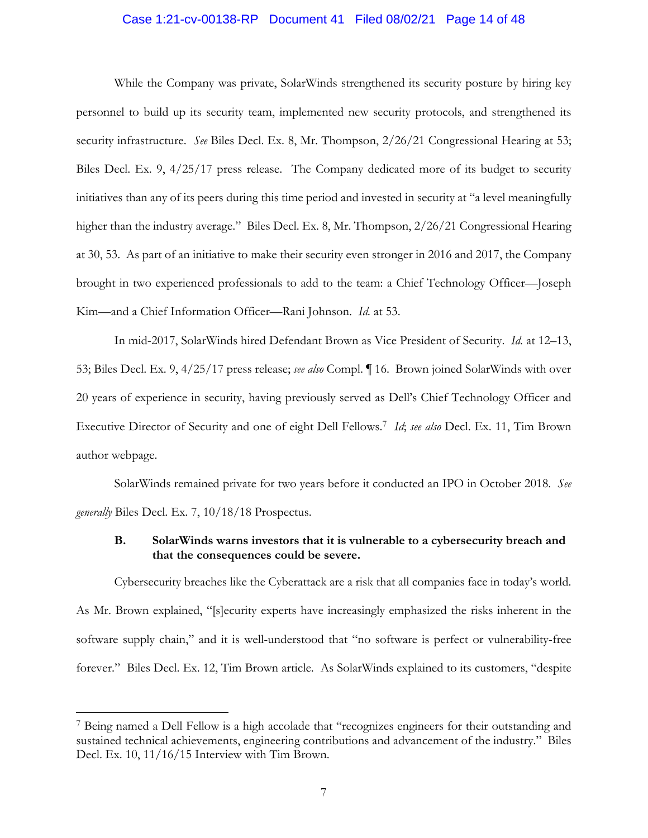#### Case 1:21-cv-00138-RP Document 41 Filed 08/02/21 Page 14 of 48

While the Company was private, SolarWinds strengthened its security posture by hiring key personnel to build up its security team, implemented new security protocols, and strengthened its security infrastructure. *See Biles Decl. Ex. 8, Mr. Thompson, 2/26/21 Congressional Hearing at 53*; Biles Decl. Ex. 9, 4/25/17 press release. The Company dedicated more of its budget to security initiatives than any of its peers during this time period and invested in security at "a level meaningfully higher than the industry average." Biles Decl. Ex. 8, Mr. Thompson, 2/26/21 Congressional Hearing at 30, 53. As part of an initiative to make their security even stronger in 2016 and 2017, the Company brought in two experienced professionals to add to the team: a Chief Technology Officer—Joseph Kim—and a Chief Information Officer—Rani Johnson. *Id.* at 53.

In mid-2017, SolarWinds hired Defendant Brown as Vice President of Security. *Id.* at 12–13, 53; Biles Decl. Ex. 9, 4/25/17 press release; *see also* Compl. ¶ 16. Brown joined SolarWinds with over 20 years of experience in security, having previously served as Dell's Chief Technology Officer and Executive Director of Security and one of eight Dell Fellows.7 *Id*; *see also* Decl. Ex. 11, Tim Brown author webpage.

 SolarWinds remained private for two years before it conducted an IPO in October 2018. *See generally* Biles Decl. Ex. 7, 10/18/18 Prospectus.

## **B. SolarWinds warns investors that it is vulnerable to a cybersecurity breach and that the consequences could be severe.**

Cybersecurity breaches like the Cyberattack are a risk that all companies face in today's world. As Mr. Brown explained, "[s]ecurity experts have increasingly emphasized the risks inherent in the software supply chain," and it is well-understood that "no software is perfect or vulnerability-free forever." Biles Decl. Ex. 12, Tim Brown article. As SolarWinds explained to its customers, "despite

<sup>7</sup> Being named a Dell Fellow is a high accolade that "recognizes engineers for their outstanding and sustained technical achievements, engineering contributions and advancement of the industry." Biles Decl. Ex. 10, 11/16/15 Interview with Tim Brown.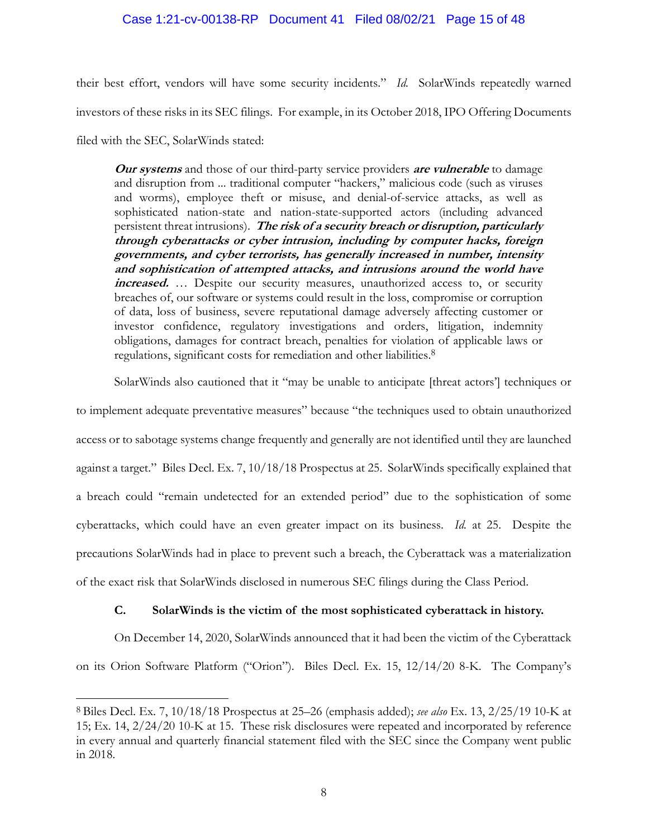## Case 1:21-cv-00138-RP Document 41 Filed 08/02/21 Page 15 of 48

their best effort, vendors will have some security incidents." *Id.* SolarWinds repeatedly warned investors of these risks in its SEC filings. For example, in its October 2018, IPO Offering Documents filed with the SEC, SolarWinds stated:

**Our systems** and those of our third-party service providers **are vulnerable** to damage and disruption from ... traditional computer "hackers," malicious code (such as viruses and worms), employee theft or misuse, and denial-of-service attacks, as well as sophisticated nation-state and nation-state-supported actors (including advanced persistent threat intrusions). **The risk of a security breach or disruption, particularly through cyberattacks or cyber intrusion, including by computer hacks, foreign governments, and cyber terrorists, has generally increased in number, intensity and sophistication of attempted attacks, and intrusions around the world have increased.** … Despite our security measures, unauthorized access to, or security breaches of, our software or systems could result in the loss, compromise or corruption of data, loss of business, severe reputational damage adversely affecting customer or investor confidence, regulatory investigations and orders, litigation, indemnity obligations, damages for contract breach, penalties for violation of applicable laws or regulations, significant costs for remediation and other liabilities.8

SolarWinds also cautioned that it "may be unable to anticipate [threat actors'] techniques or to implement adequate preventative measures" because "the techniques used to obtain unauthorized access or to sabotage systems change frequently and generally are not identified until they are launched against a target." Biles Decl. Ex. 7, 10/18/18 Prospectus at 25. SolarWinds specifically explained that a breach could "remain undetected for an extended period" due to the sophistication of some cyberattacks, which could have an even greater impact on its business. *Id.* at 25. Despite the precautions SolarWinds had in place to prevent such a breach, the Cyberattack was a materialization of the exact risk that SolarWinds disclosed in numerous SEC filings during the Class Period.

## **C. SolarWinds is the victim of the most sophisticated cyberattack in history.**

On December 14, 2020, SolarWinds announced that it had been the victim of the Cyberattack on its Orion Software Platform ("Orion"). Biles Decl. Ex. 15, 12/14/20 8-K. The Company's

<sup>8</sup> Biles Decl. Ex. 7, 10/18/18 Prospectus at 25–26 (emphasis added); *see also* Ex. 13, 2/25/19 10-K at 15; Ex. 14, 2/24/20 10-K at 15. These risk disclosures were repeated and incorporated by reference in every annual and quarterly financial statement filed with the SEC since the Company went public in 2018.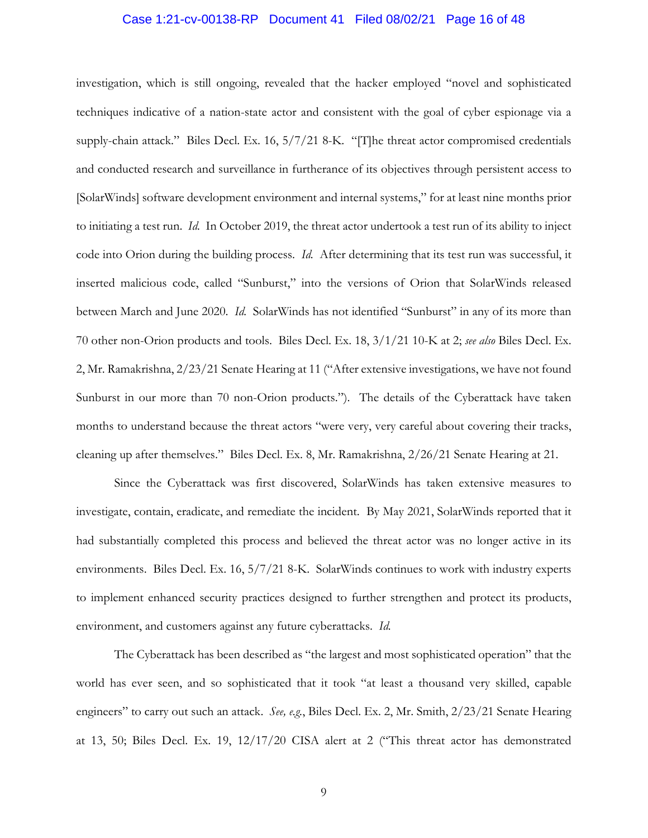# Case 1:21-cv-00138-RP Document 41 Filed 08/02/21 Page 16 of 48

investigation, which is still ongoing, revealed that the hacker employed "novel and sophisticated techniques indicative of a nation-state actor and consistent with the goal of cyber espionage via a supply-chain attack." Biles Decl. Ex. 16, 5/7/21 8-K. "[T]he threat actor compromised credentials and conducted research and surveillance in furtherance of its objectives through persistent access to [SolarWinds] software development environment and internal systems," for at least nine months prior to initiating a test run. *Id.* In October 2019, the threat actor undertook a test run of its ability to inject code into Orion during the building process. *Id.* After determining that its test run was successful, it inserted malicious code, called "Sunburst," into the versions of Orion that SolarWinds released between March and June 2020. *Id.* SolarWinds has not identified "Sunburst" in any of its more than 70 other non-Orion products and tools. Biles Decl. Ex. 18, 3/1/21 10-K at 2; *see also* Biles Decl. Ex. 2, Mr. Ramakrishna, 2/23/21 Senate Hearing at 11 ("After extensive investigations, we have not found Sunburst in our more than 70 non-Orion products."). The details of the Cyberattack have taken months to understand because the threat actors "were very, very careful about covering their tracks, cleaning up after themselves." Biles Decl. Ex. 8, Mr. Ramakrishna, 2/26/21 Senate Hearing at 21.

Since the Cyberattack was first discovered, SolarWinds has taken extensive measures to investigate, contain, eradicate, and remediate the incident. By May 2021, SolarWinds reported that it had substantially completed this process and believed the threat actor was no longer active in its environments. Biles Decl. Ex. 16, 5/7/21 8-K. SolarWinds continues to work with industry experts to implement enhanced security practices designed to further strengthen and protect its products, environment, and customers against any future cyberattacks. *Id.* 

The Cyberattack has been described as "the largest and most sophisticated operation" that the world has ever seen, and so sophisticated that it took "at least a thousand very skilled, capable engineers" to carry out such an attack. *See, e.g.*, Biles Decl. Ex. 2, Mr. Smith, 2/23/21 Senate Hearing at 13, 50; Biles Decl. Ex. 19, 12/17/20 CISA alert at 2 ("This threat actor has demonstrated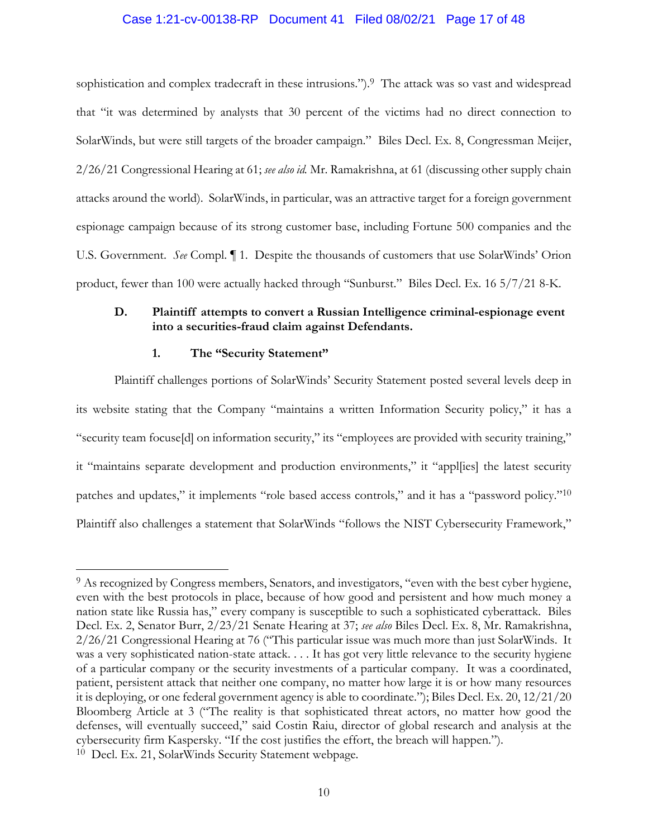#### Case 1:21-cv-00138-RP Document 41 Filed 08/02/21 Page 17 of 48

sophistication and complex tradecraft in these intrusions.").<sup>9</sup> The attack was so vast and widespread that "it was determined by analysts that 30 percent of the victims had no direct connection to SolarWinds, but were still targets of the broader campaign." Biles Decl. Ex. 8, Congressman Meijer, 2/26/21 Congressional Hearing at 61; *see also id.* Mr. Ramakrishna, at 61 (discussing other supply chain attacks around the world). SolarWinds, in particular, was an attractive target for a foreign government espionage campaign because of its strong customer base, including Fortune 500 companies and the U.S. Government. *See* Compl. ¶ 1. Despite the thousands of customers that use SolarWinds' Orion product, fewer than 100 were actually hacked through "Sunburst." Biles Decl. Ex. 16 5/7/21 8-K.

## **D. Plaintiff attempts to convert a Russian Intelligence criminal-espionage event into a securities-fraud claim against Defendants.**

#### **1. The "Security Statement"**

Plaintiff challenges portions of SolarWinds' Security Statement posted several levels deep in its website stating that the Company "maintains a written Information Security policy," it has a "security team focuse[d] on information security," its "employees are provided with security training," it "maintains separate development and production environments," it "appl[ies] the latest security patches and updates," it implements "role based access controls," and it has a "password policy."10 Plaintiff also challenges a statement that SolarWinds "follows the NIST Cybersecurity Framework,"

<sup>9</sup> As recognized by Congress members, Senators, and investigators, "even with the best cyber hygiene, even with the best protocols in place, because of how good and persistent and how much money a nation state like Russia has," every company is susceptible to such a sophisticated cyberattack. Biles Decl. Ex. 2, Senator Burr, 2/23/21 Senate Hearing at 37; *see also* Biles Decl. Ex. 8, Mr. Ramakrishna, 2/26/21 Congressional Hearing at 76 ("This particular issue was much more than just SolarWinds. It was a very sophisticated nation-state attack. . . . It has got very little relevance to the security hygiene of a particular company or the security investments of a particular company. It was a coordinated, patient, persistent attack that neither one company, no matter how large it is or how many resources it is deploying, or one federal government agency is able to coordinate."); Biles Decl. Ex. 20, 12/21/20 Bloomberg Article at 3 ("The reality is that sophisticated threat actors, no matter how good the defenses, will eventually succeed," said Costin Raiu, director of global research and analysis at the cybersecurity firm Kaspersky. "If the cost justifies the effort, the breach will happen."). 10 Decl. Ex. 21, SolarWinds Security Statement webpage.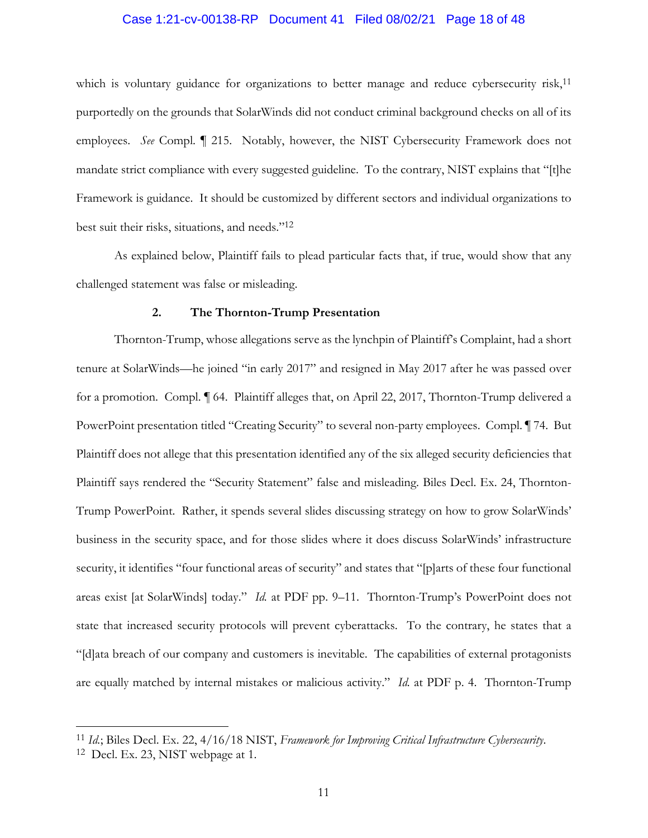#### Case 1:21-cv-00138-RP Document 41 Filed 08/02/21 Page 18 of 48

which is voluntary guidance for organizations to better manage and reduce cybersecurity risk,<sup>11</sup> purportedly on the grounds that SolarWinds did not conduct criminal background checks on all of its employees. *See* Compl. ¶ 215. Notably, however, the NIST Cybersecurity Framework does not mandate strict compliance with every suggested guideline. To the contrary, NIST explains that "[t]he Framework is guidance. It should be customized by different sectors and individual organizations to best suit their risks, situations, and needs."12

As explained below, Plaintiff fails to plead particular facts that, if true, would show that any challenged statement was false or misleading.

#### **2. The Thornton-Trump Presentation**

Thornton-Trump, whose allegations serve as the lynchpin of Plaintiff's Complaint, had a short tenure at SolarWinds—he joined "in early 2017" and resigned in May 2017 after he was passed over for a promotion. Compl. ¶ 64. Plaintiff alleges that, on April 22, 2017, Thornton-Trump delivered a PowerPoint presentation titled "Creating Security" to several non-party employees. Compl. ¶ 74. But Plaintiff does not allege that this presentation identified any of the six alleged security deficiencies that Plaintiff says rendered the "Security Statement" false and misleading. Biles Decl. Ex. 24, Thornton-Trump PowerPoint. Rather, it spends several slides discussing strategy on how to grow SolarWinds' business in the security space, and for those slides where it does discuss SolarWinds' infrastructure security, it identifies "four functional areas of security" and states that "[p]arts of these four functional areas exist [at SolarWinds] today." *Id.* at PDF pp. 9–11. Thornton-Trump's PowerPoint does not state that increased security protocols will prevent cyberattacks. To the contrary, he states that a "[d]ata breach of our company and customers is inevitable. The capabilities of external protagonists are equally matched by internal mistakes or malicious activity." *Id.* at PDF p. 4. Thornton-Trump

<sup>11</sup> *Id.*; Biles Decl. Ex. 22, 4/16/18 NIST, *Framework for Improving Critical Infrastructure Cybersecurity*. 12 Decl. Ex. 23, NIST webpage at 1.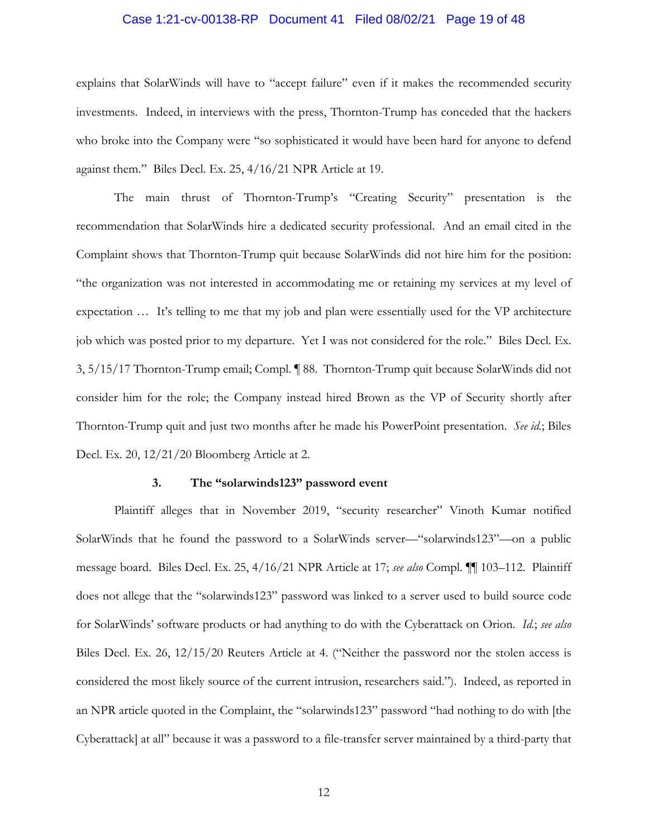# Case 1:21-cv-00138-RP Document 41 Filed 08/02/21 Page 19 of 48

explains that SolarWinds will have to "accept failure" even if it makes the recommended security investments. Indeed, in interviews with the press, Thornton-Trump has conceded that the hackers who broke into the Company were "so sophisticated it would have been hard for anyone to defend against them." Biles Decl. Ex. 25, 4/16/21 NPR Article at 19.

The main thrust of Thornton-Trump's "Creating Security" presentation is the recommendation that SolarWinds hire a dedicated security professional. And an email cited in the Complaint shows that Thornton-Trump quit because SolarWinds did not hire him for the position: "the organization was not interested in accommodating me or retaining my services at my level of expectation … It's telling to me that my job and plan were essentially used for the VP architecture job which was posted prior to my departure. Yet I was not considered for the role." Biles Decl. Ex. 3, 5/15/17 Thornton-Trump email; Compl. ¶ 88. Thornton-Trump quit because SolarWinds did not consider him for the role; the Company instead hired Brown as the VP of Security shortly after Thornton-Trump quit and just two months after he made his PowerPoint presentation. *See id.*; Biles Decl. Ex. 20, 12/21/20 Bloomberg Article at 2.

#### **3. The "solarwinds123" password event**

Plaintiff alleges that in November 2019, "security researcher" Vinoth Kumar notified SolarWinds that he found the password to a SolarWinds server—"solarwinds123"—on a public message board. Biles Decl. Ex. 25, 4/16/21 NPR Article at 17; *see also* Compl. ¶¶ 103–112. Plaintiff does not allege that the "solarwinds123" password was linked to a server used to build source code for SolarWinds' software products or had anything to do with the Cyberattack on Orion. *Id.*; *see also* Biles Decl. Ex. 26, 12/15/20 Reuters Article at 4. ("Neither the password nor the stolen access is considered the most likely source of the current intrusion, researchers said."). Indeed, as reported in an NPR article quoted in the Complaint, the "solarwinds123" password "had nothing to do with [the Cyberattack] at all" because it was a password to a file-transfer server maintained by a third-party that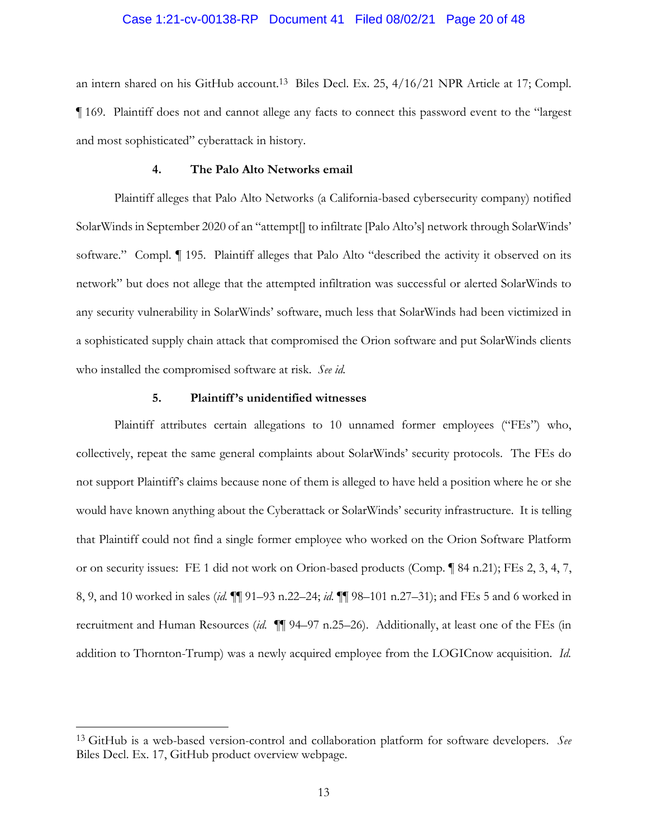# Case 1:21-cv-00138-RP Document 41 Filed 08/02/21 Page 20 of 48

an intern shared on his GitHub account.13 Biles Decl. Ex. 25, 4/16/21 NPR Article at 17; Compl. ¶ 169. Plaintiff does not and cannot allege any facts to connect this password event to the "largest and most sophisticated" cyberattack in history.

#### **4. The Palo Alto Networks email**

Plaintiff alleges that Palo Alto Networks (a California-based cybersecurity company) notified SolarWinds in September 2020 of an "attempt[] to infiltrate [Palo Alto's] network through SolarWinds' software." Compl.  $\P$  195. Plaintiff alleges that Palo Alto "described the activity it observed on its network" but does not allege that the attempted infiltration was successful or alerted SolarWinds to any security vulnerability in SolarWinds' software, much less that SolarWinds had been victimized in a sophisticated supply chain attack that compromised the Orion software and put SolarWinds clients who installed the compromised software at risk. *See id.*

### **5. Plaintiff 's unidentified witnesses**

Plaintiff attributes certain allegations to 10 unnamed former employees ("FEs") who, collectively, repeat the same general complaints about SolarWinds' security protocols. The FEs do not support Plaintiff's claims because none of them is alleged to have held a position where he or she would have known anything about the Cyberattack or SolarWinds' security infrastructure. It is telling that Plaintiff could not find a single former employee who worked on the Orion Software Platform or on security issues: FE 1 did not work on Orion-based products (Comp. ¶ 84 n.21); FEs 2, 3, 4, 7, 8, 9, and 10 worked in sales (*id.* ¶¶ 91–93 n.22–24; *id.* ¶¶ 98–101 n.27–31); and FEs 5 and 6 worked in recruitment and Human Resources (*id.* ¶¶ 94–97 n.25–26). Additionally, at least one of the FEs (in addition to Thornton-Trump) was a newly acquired employee from the LOGICnow acquisition. *Id.*

<sup>13</sup> GitHub is a web-based version-control and collaboration platform for software developers. *See*  Biles Decl. Ex. 17, GitHub product overview webpage.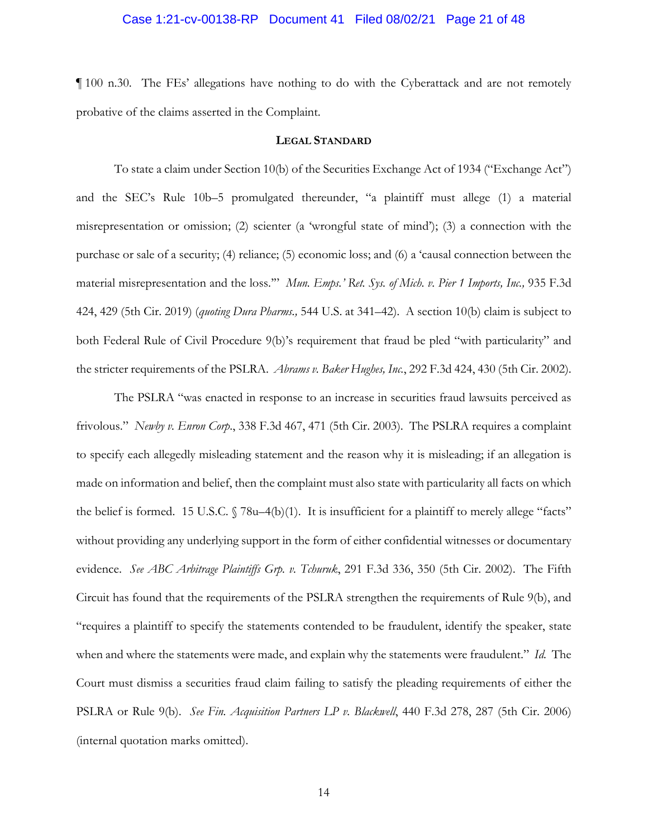#### Case 1:21-cv-00138-RP Document 41 Filed 08/02/21 Page 21 of 48

¶ 100 n.30. The FEs' allegations have nothing to do with the Cyberattack and are not remotely probative of the claims asserted in the Complaint.

#### **LEGAL STANDARD**

To state a claim under Section 10(b) of the Securities Exchange Act of 1934 ("Exchange Act") and the SEC's Rule 10b–5 promulgated thereunder, "a plaintiff must allege (1) a material misrepresentation or omission; (2) scienter (a 'wrongful state of mind'); (3) a connection with the purchase or sale of a security; (4) reliance; (5) economic loss; and (6) a 'causal connection between the material misrepresentation and the loss."" *Mun. Emps.' Ret. Sys. of Mich. v. Pier 1 Imports, Inc.*, 935 F.3d 424, 429 (5th Cir. 2019) (*quoting Dura Pharms.,* 544 U.S. at 341–42). A section 10(b) claim is subject to both Federal Rule of Civil Procedure 9(b)'s requirement that fraud be pled "with particularity" and the stricter requirements of the PSLRA. *Abrams v. Baker Hughes, Inc.*, 292 F.3d 424, 430 (5th Cir. 2002).

The PSLRA "was enacted in response to an increase in securities fraud lawsuits perceived as frivolous." *Newby v. Enron Corp*., 338 F.3d 467, 471 (5th Cir. 2003). The PSLRA requires a complaint to specify each allegedly misleading statement and the reason why it is misleading; if an allegation is made on information and belief, then the complaint must also state with particularity all facts on which the belief is formed. 15 U.S.C. § 78u–4(b)(1). It is insufficient for a plaintiff to merely allege "facts" without providing any underlying support in the form of either confidential witnesses or documentary evidence. *See ABC Arbitrage Plaintiffs Grp. v. Tchuruk*, 291 F.3d 336, 350 (5th Cir. 2002). The Fifth Circuit has found that the requirements of the PSLRA strengthen the requirements of Rule 9(b), and "requires a plaintiff to specify the statements contended to be fraudulent, identify the speaker, state when and where the statements were made, and explain why the statements were fraudulent." *Id.* The Court must dismiss a securities fraud claim failing to satisfy the pleading requirements of either the PSLRA or Rule 9(b). *See Fin. Acquisition Partners LP v. Blackwell*, 440 F.3d 278, 287 (5th Cir. 2006) (internal quotation marks omitted).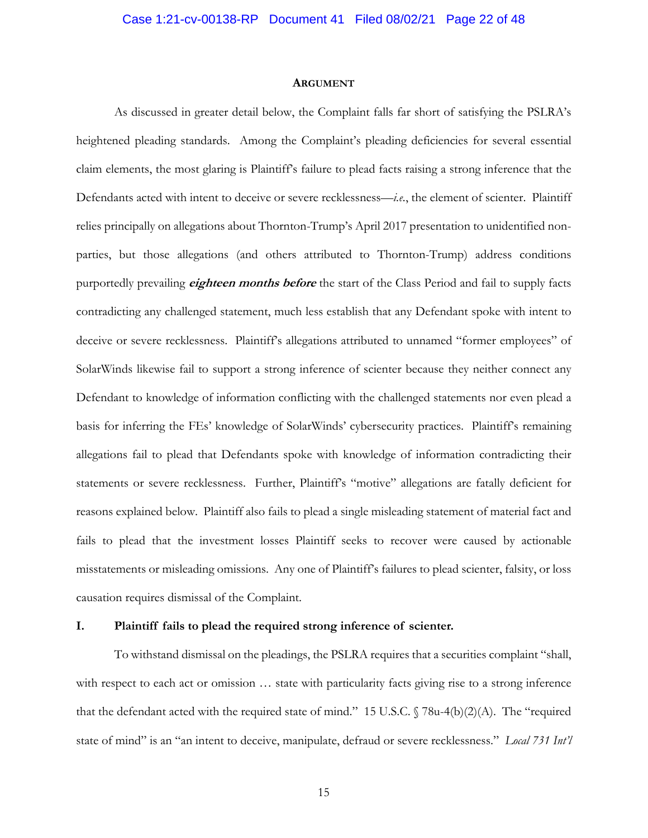#### **ARGUMENT**

As discussed in greater detail below, the Complaint falls far short of satisfying the PSLRA's heightened pleading standards. Among the Complaint's pleading deficiencies for several essential claim elements, the most glaring is Plaintiff's failure to plead facts raising a strong inference that the Defendants acted with intent to deceive or severe recklessness—*i.e.*, the element of scienter. Plaintiff relies principally on allegations about Thornton-Trump's April 2017 presentation to unidentified nonparties, but those allegations (and others attributed to Thornton-Trump) address conditions purportedly prevailing **eighteen months before** the start of the Class Period and fail to supply facts contradicting any challenged statement, much less establish that any Defendant spoke with intent to deceive or severe recklessness. Plaintiff's allegations attributed to unnamed "former employees" of SolarWinds likewise fail to support a strong inference of scienter because they neither connect any Defendant to knowledge of information conflicting with the challenged statements nor even plead a basis for inferring the FEs' knowledge of SolarWinds' cybersecurity practices. Plaintiff's remaining allegations fail to plead that Defendants spoke with knowledge of information contradicting their statements or severe recklessness. Further, Plaintiff's "motive" allegations are fatally deficient for reasons explained below. Plaintiff also fails to plead a single misleading statement of material fact and fails to plead that the investment losses Plaintiff seeks to recover were caused by actionable misstatements or misleading omissions. Any one of Plaintiff's failures to plead scienter, falsity, or loss causation requires dismissal of the Complaint.

#### **I. Plaintiff fails to plead the required strong inference of scienter.**

To withstand dismissal on the pleadings, the PSLRA requires that a securities complaint "shall, with respect to each act or omission  $\ldots$  state with particularity facts giving rise to a strong inference that the defendant acted with the required state of mind." 15 U.S.C.  $\sqrt{78u-4(b)(2)}$  (A). The "required state of mind" is an "an intent to deceive, manipulate, defraud or severe recklessness." *Local 731 Int'l*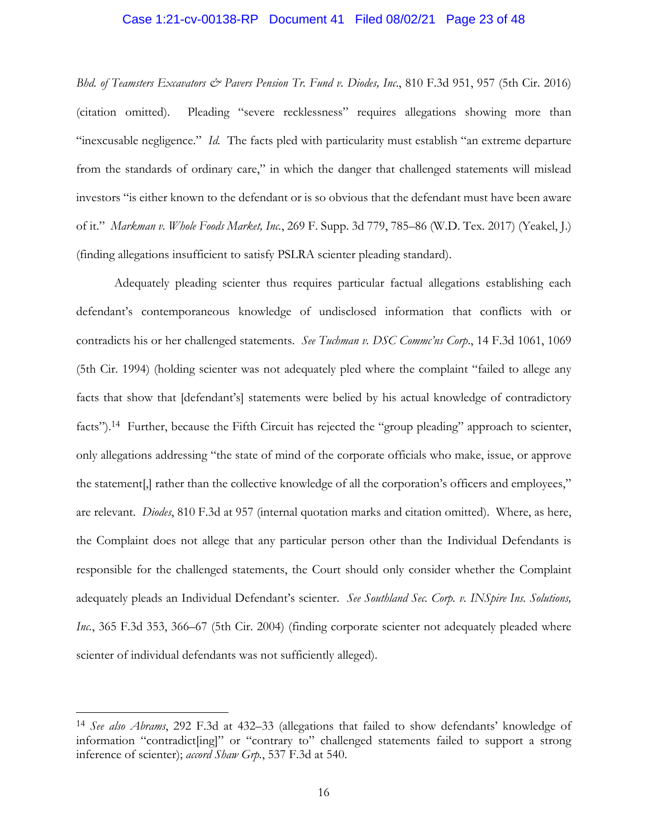#### Case 1:21-cv-00138-RP Document 41 Filed 08/02/21 Page 23 of 48

*Bhd. of Teamsters Excavators & Pavers Pension Tr. Fund v. Diodes, Inc*., 810 F.3d 951, 957 (5th Cir. 2016) (citation omitted). Pleading "severe recklessness" requires allegations showing more than "inexcusable negligence." *Id.* The facts pled with particularity must establish "an extreme departure from the standards of ordinary care," in which the danger that challenged statements will mislead investors "is either known to the defendant or is so obvious that the defendant must have been aware of it." *Markman v. Whole Foods Market, Inc.*, 269 F. Supp. 3d 779, 785–86 (W.D. Tex. 2017) (Yeakel, J.) (finding allegations insufficient to satisfy PSLRA scienter pleading standard).

Adequately pleading scienter thus requires particular factual allegations establishing each defendant's contemporaneous knowledge of undisclosed information that conflicts with or contradicts his or her challenged statements. *See Tuchman v. DSC Commc'ns Corp*., 14 F.3d 1061, 1069 (5th Cir. 1994) (holding scienter was not adequately pled where the complaint "failed to allege any facts that show that [defendant's] statements were belied by his actual knowledge of contradictory facts").<sup>14</sup> Further, because the Fifth Circuit has rejected the "group pleading" approach to scienter, only allegations addressing "the state of mind of the corporate officials who make, issue, or approve the statement[,] rather than the collective knowledge of all the corporation's officers and employees," are relevant. *Diodes*, 810 F.3d at 957 (internal quotation marks and citation omitted). Where, as here, the Complaint does not allege that any particular person other than the Individual Defendants is responsible for the challenged statements, the Court should only consider whether the Complaint adequately pleads an Individual Defendant's scienter. *See Southland Sec. Corp. v. INSpire Ins. Solutions, Inc.*, 365 F.3d 353, 366–67 (5th Cir. 2004) (finding corporate scienter not adequately pleaded where scienter of individual defendants was not sufficiently alleged).

<sup>14</sup> *See also Abrams*, 292 F.3d at 432–33 (allegations that failed to show defendants' knowledge of information "contradict[ing]" or "contrary to" challenged statements failed to support a strong inference of scienter); *accord Shaw Grp.*, 537 F.3d at 540.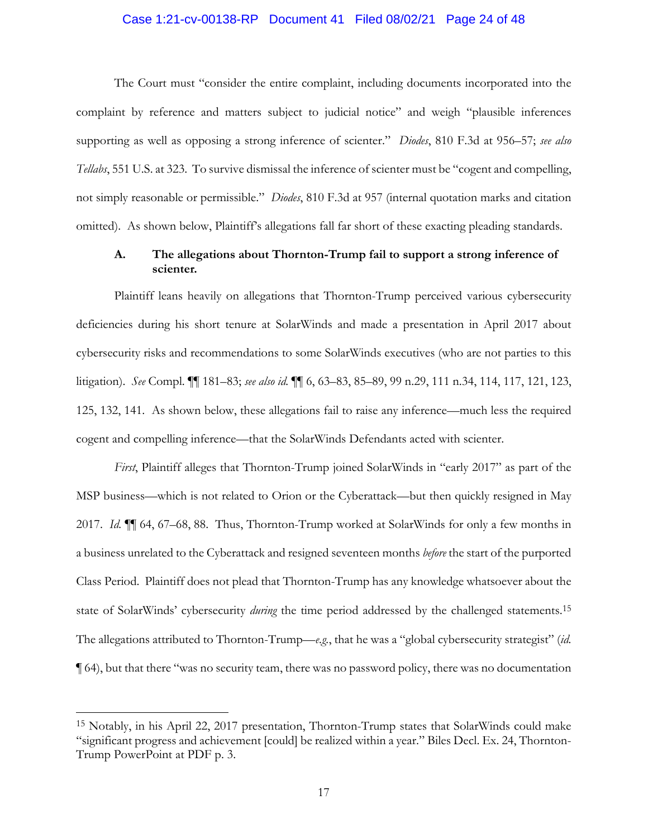#### Case 1:21-cv-00138-RP Document 41 Filed 08/02/21 Page 24 of 48

The Court must "consider the entire complaint, including documents incorporated into the complaint by reference and matters subject to judicial notice" and weigh "plausible inferences supporting as well as opposing a strong inference of scienter." *Diodes*, 810 F.3d at 956–57; *see also Tellabs*, 551 U.S. at 323. To survive dismissal the inference of scienter must be "cogent and compelling, not simply reasonable or permissible." *Diodes*, 810 F.3d at 957 (internal quotation marks and citation omitted). As shown below, Plaintiff's allegations fall far short of these exacting pleading standards.

## **A. The allegations about Thornton-Trump fail to support a strong inference of scienter.**

Plaintiff leans heavily on allegations that Thornton-Trump perceived various cybersecurity deficiencies during his short tenure at SolarWinds and made a presentation in April 2017 about cybersecurity risks and recommendations to some SolarWinds executives (who are not parties to this litigation). *See* Compl. ¶¶ 181–83; *see also id.* ¶¶ 6, 63–83, 85–89, 99 n.29, 111 n.34, 114, 117, 121, 123, 125, 132, 141. As shown below, these allegations fail to raise any inference—much less the required cogent and compelling inference—that the SolarWinds Defendants acted with scienter.

*First*, Plaintiff alleges that Thornton-Trump joined SolarWinds in "early 2017" as part of the MSP business—which is not related to Orion or the Cyberattack—but then quickly resigned in May 2017. *Id.* ¶¶ 64, 67–68, 88. Thus, Thornton-Trump worked at SolarWinds for only a few months in a business unrelated to the Cyberattack and resigned seventeen months *before* the start of the purported Class Period. Plaintiff does not plead that Thornton-Trump has any knowledge whatsoever about the state of SolarWinds' cybersecurity *during* the time period addressed by the challenged statements.15 The allegations attributed to Thornton-Trump—*e.g.*, that he was a "global cybersecurity strategist" (*id.*  ¶ 64), but that there "was no security team, there was no password policy, there was no documentation

<sup>15</sup> Notably, in his April 22, 2017 presentation, Thornton-Trump states that SolarWinds could make "significant progress and achievement [could] be realized within a year." Biles Decl. Ex. 24, Thornton-Trump PowerPoint at PDF p. 3.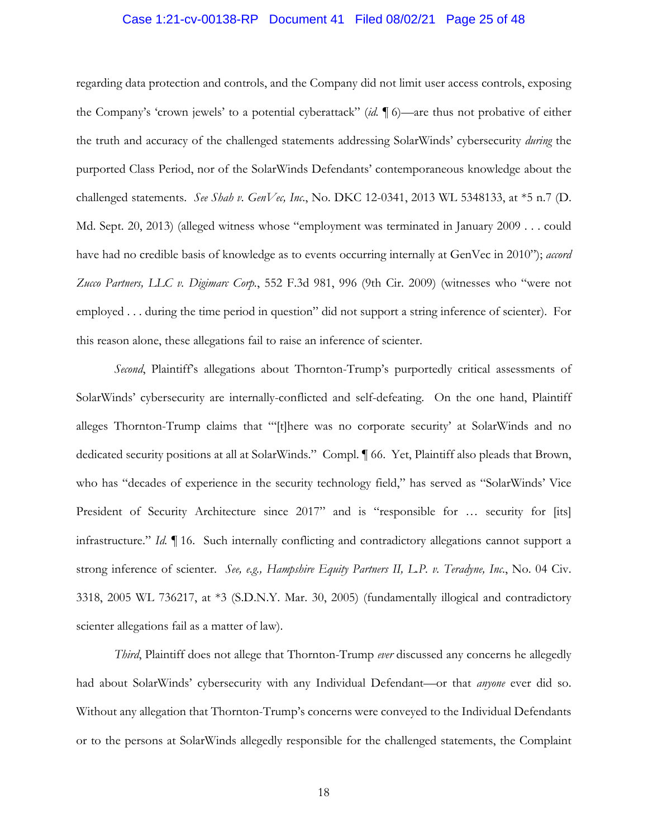# Case 1:21-cv-00138-RP Document 41 Filed 08/02/21 Page 25 of 48

regarding data protection and controls, and the Company did not limit user access controls, exposing the Company's 'crown jewels' to a potential cyberattack" (*id.* ¶ 6)—are thus not probative of either the truth and accuracy of the challenged statements addressing SolarWinds' cybersecurity *during* the purported Class Period, nor of the SolarWinds Defendants' contemporaneous knowledge about the challenged statements. *See Shah v. GenVec, Inc*., No. DKC 12-0341, 2013 WL 5348133, at \*5 n.7 (D. Md. Sept. 20, 2013) (alleged witness whose "employment was terminated in January 2009 . . . could have had no credible basis of knowledge as to events occurring internally at GenVec in 2010"); *accord Zucco Partners, LLC v. Digimarc Corp.*, 552 F.3d 981, 996 (9th Cir. 2009) (witnesses who "were not employed . . . during the time period in question" did not support a string inference of scienter). For this reason alone, these allegations fail to raise an inference of scienter.

*Second*, Plaintiff's allegations about Thornton-Trump's purportedly critical assessments of SolarWinds' cybersecurity are internally-conflicted and self-defeating. On the one hand, Plaintiff alleges Thornton-Trump claims that "'[t]here was no corporate security' at SolarWinds and no dedicated security positions at all at SolarWinds." Compl. ¶ 66. Yet, Plaintiff also pleads that Brown, who has "decades of experience in the security technology field," has served as "SolarWinds' Vice President of Security Architecture since 2017" and is "responsible for ... security for [its] infrastructure." *Id.* ¶ 16. Such internally conflicting and contradictory allegations cannot support a strong inference of scienter. *See, e.g., Hampshire Equity Partners II, L.P. v. Teradyne, Inc*., No. 04 Civ. 3318, 2005 WL 736217, at \*3 (S.D.N.Y. Mar. 30, 2005) (fundamentally illogical and contradictory scienter allegations fail as a matter of law).

*Third*, Plaintiff does not allege that Thornton-Trump *ever* discussed any concerns he allegedly had about SolarWinds' cybersecurity with any Individual Defendant—or that *anyone* ever did so. Without any allegation that Thornton-Trump's concerns were conveyed to the Individual Defendants or to the persons at SolarWinds allegedly responsible for the challenged statements, the Complaint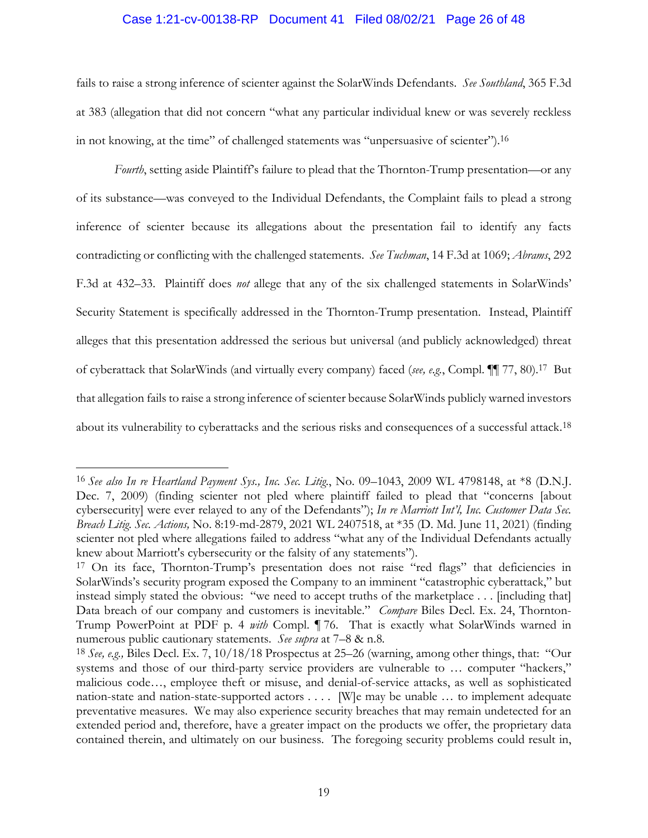#### Case 1:21-cv-00138-RP Document 41 Filed 08/02/21 Page 26 of 48

fails to raise a strong inference of scienter against the SolarWinds Defendants. *See Southland*, 365 F.3d at 383 (allegation that did not concern "what any particular individual knew or was severely reckless in not knowing, at the time" of challenged statements was "unpersuasive of scienter").16

Fourth, setting aside Plaintiff's failure to plead that the Thornton-Trump presentation—or any of its substance—was conveyed to the Individual Defendants, the Complaint fails to plead a strong inference of scienter because its allegations about the presentation fail to identify any facts contradicting or conflicting with the challenged statements. *See Tuchman*, 14 F.3d at 1069; *Abrams*, 292 F.3d at 432–33. Plaintiff does *not* allege that any of the six challenged statements in SolarWinds' Security Statement is specifically addressed in the Thornton-Trump presentation. Instead, Plaintiff alleges that this presentation addressed the serious but universal (and publicly acknowledged) threat of cyberattack that SolarWinds (and virtually every company) faced (*see, e.g.*, Compl. ¶¶ 77, 80).17 But that allegation fails to raise a strong inference of scienter because SolarWinds publicly warned investors about its vulnerability to cyberattacks and the serious risks and consequences of a successful attack.18

<sup>16</sup> *See also In re Heartland Payment Sys., Inc. Sec. Litig.*, No. 09–1043, 2009 WL 4798148, at \*8 (D.N.J. Dec. 7, 2009) (finding scienter not pled where plaintiff failed to plead that "concerns [about cybersecurity] were ever relayed to any of the Defendants"); *In re Marriott Int'l, Inc. Customer Data Sec. Breach Litig. Sec. Actions,* No. 8:19-md-2879, 2021 WL 2407518, at \*35 (D. Md. June 11, 2021) (finding scienter not pled where allegations failed to address "what any of the Individual Defendants actually knew about Marriott's cybersecurity or the falsity of any statements").

<sup>&</sup>lt;sup>17</sup> On its face, Thornton-Trump's presentation does not raise "red flags" that deficiencies in SolarWinds's security program exposed the Company to an imminent "catastrophic cyberattack," but instead simply stated the obvious: "we need to accept truths of the marketplace . . . [including that] Data breach of our company and customers is inevitable." *Compare* Biles Decl. Ex. 24, Thornton-Trump PowerPoint at PDF p. 4 *with* Compl. ¶ 76. That is exactly what SolarWinds warned in numerous public cautionary statements. *See supra* at 7–8 & n.8*.* 

<sup>18</sup> *See, e.g.,* Biles Decl. Ex. 7, 10/18/18 Prospectus at 25–26 (warning, among other things, that: "Our systems and those of our third-party service providers are vulnerable to … computer "hackers," malicious code…, employee theft or misuse, and denial-of-service attacks, as well as sophisticated nation-state and nation-state-supported actors . . . . [W]e may be unable … to implement adequate preventative measures. We may also experience security breaches that may remain undetected for an extended period and, therefore, have a greater impact on the products we offer, the proprietary data contained therein, and ultimately on our business. The foregoing security problems could result in,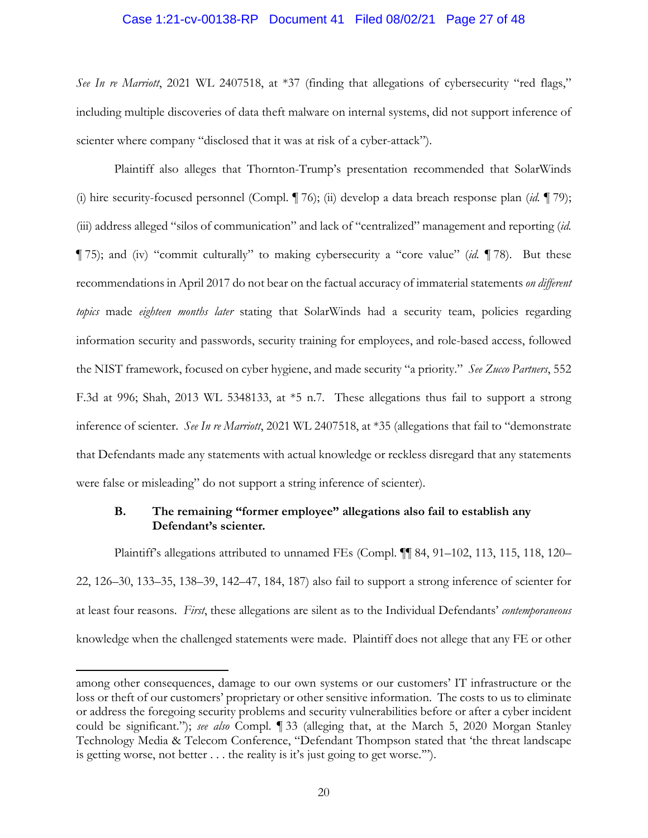#### Case 1:21-cv-00138-RP Document 41 Filed 08/02/21 Page 27 of 48

*See In re Marriott*, 2021 WL 2407518, at \*37 (finding that allegations of cybersecurity "red flags," including multiple discoveries of data theft malware on internal systems, did not support inference of scienter where company "disclosed that it was at risk of a cyber-attack").

Plaintiff also alleges that Thornton-Trump's presentation recommended that SolarWinds (i) hire security-focused personnel (Compl. ¶ 76); (ii) develop a data breach response plan (*id.* ¶ 79); (iii) address alleged "silos of communication" and lack of "centralized" management and reporting (*id.*  ¶ 75); and (iv) "commit culturally" to making cybersecurity a "core value" (*id.* ¶ 78). But these recommendations in April 2017 do not bear on the factual accuracy of immaterial statements *on different topics* made *eighteen months later* stating that SolarWinds had a security team, policies regarding information security and passwords, security training for employees, and role-based access, followed the NIST framework, focused on cyber hygiene, and made security "a priority." *See Zucco Partners*, 552 F.3d at 996; Shah, 2013 WL 5348133, at \*5 n.7. These allegations thus fail to support a strong inference of scienter. *See In re Marriott*, 2021 WL 2407518, at \*35 (allegations that fail to "demonstrate that Defendants made any statements with actual knowledge or reckless disregard that any statements were false or misleading" do not support a string inference of scienter).

## **B. The remaining "former employee" allegations also fail to establish any Defendant's scienter.**

Plaintiff's allegations attributed to unnamed FEs (Compl. ¶¶ 84, 91–102, 113, 115, 118, 120– 22, 126–30, 133–35, 138–39, 142–47, 184, 187) also fail to support a strong inference of scienter for at least four reasons. *First*, these allegations are silent as to the Individual Defendants' *contemporaneous*  knowledge when the challenged statements were made. Plaintiff does not allege that any FE or other

among other consequences, damage to our own systems or our customers' IT infrastructure or the loss or theft of our customers' proprietary or other sensitive information. The costs to us to eliminate or address the foregoing security problems and security vulnerabilities before or after a cyber incident could be significant."); *see also* Compl. ¶ 33 (alleging that, at the March 5, 2020 Morgan Stanley Technology Media & Telecom Conference, "Defendant Thompson stated that 'the threat landscape is getting worse, not better . . . the reality is it's just going to get worse.'").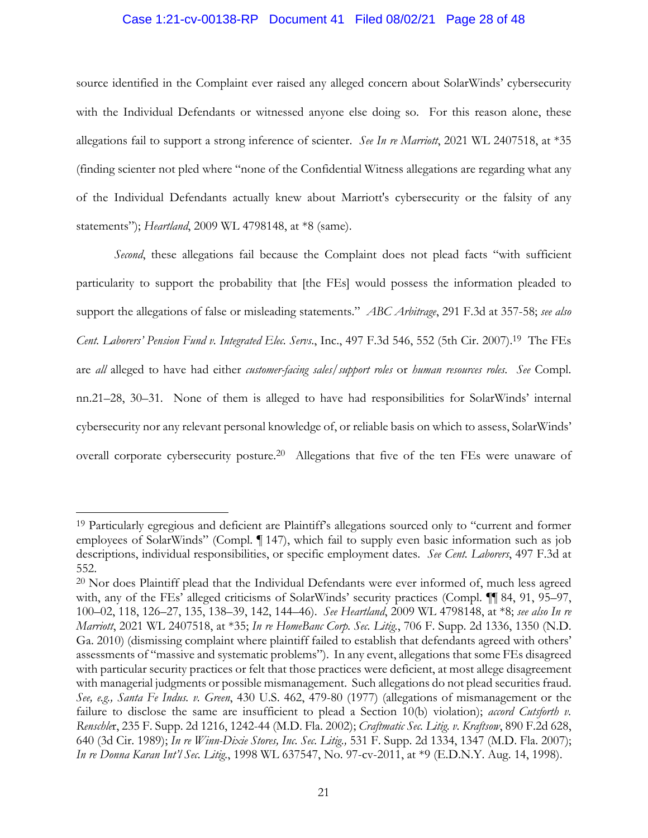#### Case 1:21-cv-00138-RP Document 41 Filed 08/02/21 Page 28 of 48

source identified in the Complaint ever raised any alleged concern about SolarWinds' cybersecurity with the Individual Defendants or witnessed anyone else doing so. For this reason alone, these allegations fail to support a strong inference of scienter. *See In re Marriott*, 2021 WL 2407518, at \*35 (finding scienter not pled where "none of the Confidential Witness allegations are regarding what any of the Individual Defendants actually knew about Marriott's cybersecurity or the falsity of any statements"); *Heartland*, 2009 WL 4798148, at \*8 (same).

*Second*, these allegations fail because the Complaint does not plead facts "with sufficient particularity to support the probability that [the FEs] would possess the information pleaded to support the allegations of false or misleading statements." *ABC Arbitrage*, 291 F.3d at 357-58; *see also Cent. Laborers' Pension Fund v. Integrated Elec. Servs*., Inc., 497 F.3d 546, 552 (5th Cir. 2007).19 The FEs are *all* alleged to have had either *customer-facing sales/support roles* or *human resources roles*. *See* Compl. nn.21–28, 30–31. None of them is alleged to have had responsibilities for SolarWinds' internal cybersecurity nor any relevant personal knowledge of, or reliable basis on which to assess, SolarWinds' overall corporate cybersecurity posture.<sup>20</sup> Allegations that five of the ten FEs were unaware of

<sup>&</sup>lt;sup>19</sup> Particularly egregious and deficient are Plaintiff's allegations sourced only to "current and former employees of SolarWinds" (Compl. ¶ 147), which fail to supply even basic information such as job descriptions, individual responsibilities, or specific employment dates. *See Cent. Laborers*, 497 F.3d at 552.

<sup>&</sup>lt;sup>20</sup> Nor does Plaintiff plead that the Individual Defendants were ever informed of, much less agreed with, any of the FEs' alleged criticisms of SolarWinds' security practices (Compl.  $\P\P$  84, 91, 95–97, 100–02, 118, 126–27, 135, 138–39, 142, 144–46). *See Heartland*, 2009 WL 4798148, at \*8; *see also In re Marriott*, 2021 WL 2407518, at \*35; *In re HomeBanc Corp. Sec. Litig.*, 706 F. Supp. 2d 1336, 1350 (N.D. Ga. 2010) (dismissing complaint where plaintiff failed to establish that defendants agreed with others' assessments of "massive and systematic problems"). In any event, allegations that some FEs disagreed with particular security practices or felt that those practices were deficient, at most allege disagreement with managerial judgments or possible mismanagement. Such allegations do not plead securities fraud. *See, e.g., Santa Fe Indus. v. Green*, 430 U.S. 462, 479-80 (1977) (allegations of mismanagement or the failure to disclose the same are insufficient to plead a Section 10(b) violation); *accord Cutsforth v*. *Renschle*r, 235 F. Supp. 2d 1216, 1242-44 (M.D. Fla. 2002); *Craftmatic Sec. Litig. v. Kraftsow*, 890 F.2d 628, 640 (3d Cir. 1989); *In re Winn-Dixie Stores, Inc. Sec. Litig.,* 531 F. Supp. 2d 1334, 1347 (M.D. Fla. 2007); *In re Donna Karan Int'l Sec. Litig.*, 1998 WL 637547, No. 97-cv-2011, at \*9 (E.D.N.Y. Aug. 14, 1998).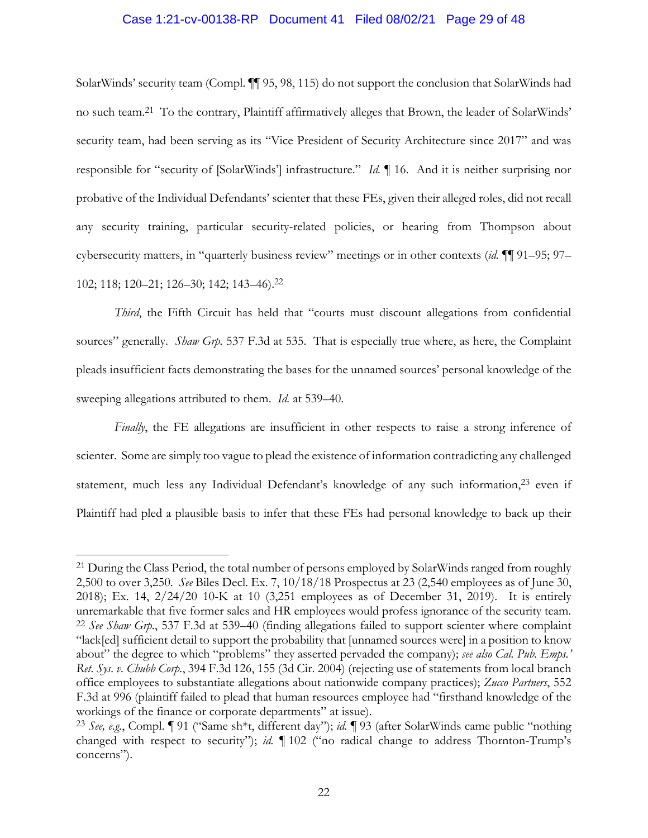#### Case 1:21-cv-00138-RP Document 41 Filed 08/02/21 Page 29 of 48

SolarWinds' security team (Compl. ¶¶ 95, 98, 115) do not support the conclusion that SolarWinds had no such team.21 To the contrary, Plaintiff affirmatively alleges that Brown, the leader of SolarWinds' security team, had been serving as its "Vice President of Security Architecture since 2017" and was responsible for "security of [SolarWinds'] infrastructure." *Id.* ¶ 16. And it is neither surprising nor probative of the Individual Defendants' scienter that these FEs, given their alleged roles, did not recall any security training, particular security-related policies, or hearing from Thompson about cybersecurity matters, in "quarterly business review" meetings or in other contexts (*id.* ¶¶ 91–95; 97– 102; 118; 120–21; 126–30; 142; 143–46).22

*Third*, the Fifth Circuit has held that "courts must discount allegations from confidential sources" generally. *Shaw Grp.* 537 F.3d at 535. That is especially true where, as here, the Complaint pleads insufficient facts demonstrating the bases for the unnamed sources' personal knowledge of the sweeping allegations attributed to them. *Id.* at 539–40.

*Finally*, the FE allegations are insufficient in other respects to raise a strong inference of scienter. Some are simply too vague to plead the existence of information contradicting any challenged statement, much less any Individual Defendant's knowledge of any such information,<sup>23</sup> even if Plaintiff had pled a plausible basis to infer that these FEs had personal knowledge to back up their

<sup>&</sup>lt;sup>21</sup> During the Class Period, the total number of persons employed by SolarWinds ranged from roughly 2,500 to over 3,250. *See* Biles Decl. Ex. 7, 10/18/18 Prospectus at 23 (2,540 employees as of June 30, 2018); Ex. 14, 2/24/20 10-K at 10 (3,251 employees as of December 31, 2019). It is entirely unremarkable that five former sales and HR employees would profess ignorance of the security team. 22 *See Shaw Grp.*, 537 F.3d at 539–40 (finding allegations failed to support scienter where complaint "lack[ed] sufficient detail to support the probability that [unnamed sources were] in a position to know about" the degree to which "problems" they asserted pervaded the company); *see also Cal. Pub. Emps.' Ret. Sys. v. Chubb Corp.*, 394 F.3d 126, 155 (3d Cir. 2004) (rejecting use of statements from local branch office employees to substantiate allegations about nationwide company practices); *Zucco Partners*, 552 F.3d at 996 (plaintiff failed to plead that human resources employee had "firsthand knowledge of the workings of the finance or corporate departments" at issue).

<sup>23</sup> *See, e.g.*, Compl. ¶ 91 ("Same sh\*t, different day"); *id.* ¶ 93 (after SolarWinds came public "nothing changed with respect to security"); *id.* ¶ 102 ("no radical change to address Thornton-Trump's concerns").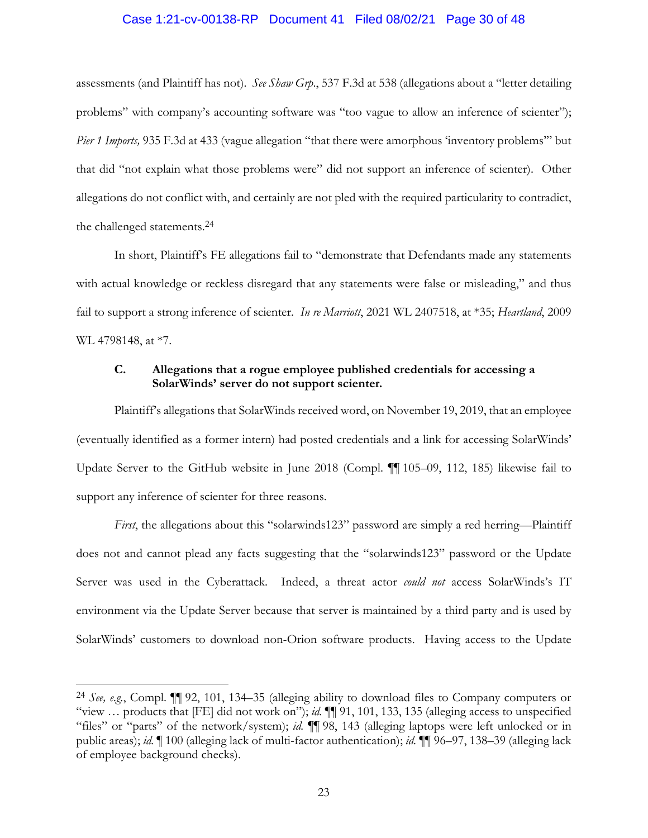#### Case 1:21-cv-00138-RP Document 41 Filed 08/02/21 Page 30 of 48

assessments (and Plaintiff has not). *See Shaw Grp*., 537 F.3d at 538 (allegations about a "letter detailing problems" with company's accounting software was "too vague to allow an inference of scienter"); *Pier 1 Imports,* 935 F.3d at 433 (vague allegation "that there were amorphous 'inventory problems'" but that did "not explain what those problems were" did not support an inference of scienter). Other allegations do not conflict with, and certainly are not pled with the required particularity to contradict, the challenged statements.24

In short, Plaintiff's FE allegations fail to "demonstrate that Defendants made any statements with actual knowledge or reckless disregard that any statements were false or misleading," and thus fail to support a strong inference of scienter. *In re Marriott*, 2021 WL 2407518, at \*35; *Heartland*, 2009 WL 4798148, at \*7.

## **C. Allegations that a rogue employee published credentials for accessing a SolarWinds' server do not support scienter.**

Plaintiff's allegations that SolarWinds received word, on November 19, 2019, that an employee (eventually identified as a former intern) had posted credentials and a link for accessing SolarWinds' Update Server to the GitHub website in June 2018 (Compl. ¶¶ 105–09, 112, 185) likewise fail to support any inference of scienter for three reasons.

*First*, the allegations about this "solarwinds123" password are simply a red herring—Plaintiff does not and cannot plead any facts suggesting that the "solarwinds123" password or the Update Server was used in the Cyberattack. Indeed, a threat actor *could not* access SolarWinds's IT environment via the Update Server because that server is maintained by a third party and is used by SolarWinds' customers to download non-Orion software products. Having access to the Update

<sup>24</sup> *See, e.g.*, Compl. ¶¶ 92, 101, 134–35 (alleging ability to download files to Company computers or "view … products that [FE] did not work on"); *id.* ¶¶ 91, 101, 133, 135 (alleging access to unspecified "files" or "parts" of the network/system); *id.* ¶¶ 98, 143 (alleging laptops were left unlocked or in public areas); *id.* ¶ 100 (alleging lack of multi-factor authentication); *id.* ¶¶ 96–97, 138–39 (alleging lack of employee background checks).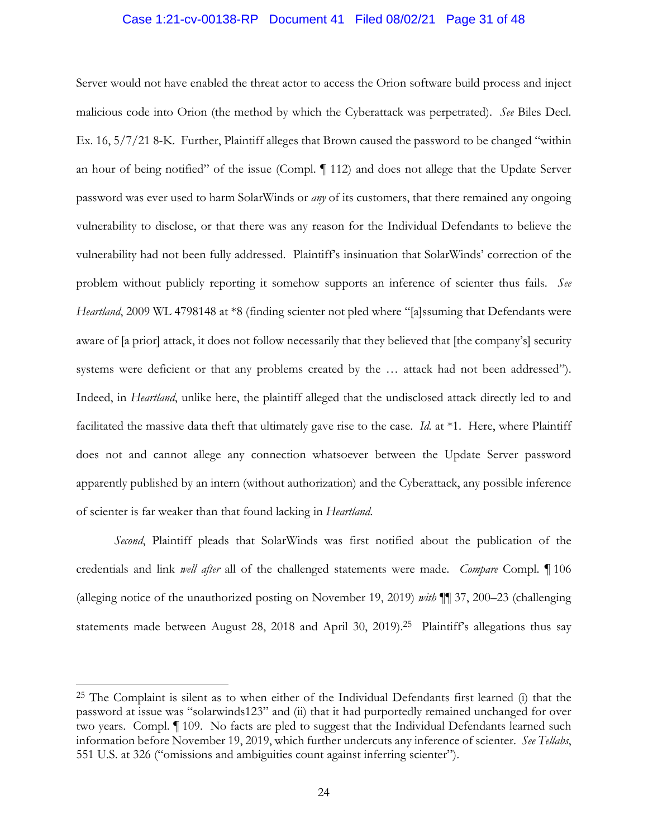#### Case 1:21-cv-00138-RP Document 41 Filed 08/02/21 Page 31 of 48

Server would not have enabled the threat actor to access the Orion software build process and inject malicious code into Orion (the method by which the Cyberattack was perpetrated). *See* Biles Decl. Ex. 16, 5/7/21 8-K. Further, Plaintiff alleges that Brown caused the password to be changed "within an hour of being notified" of the issue (Compl. ¶ 112) and does not allege that the Update Server password was ever used to harm SolarWinds or *any* of its customers, that there remained any ongoing vulnerability to disclose, or that there was any reason for the Individual Defendants to believe the vulnerability had not been fully addressed. Plaintiff's insinuation that SolarWinds' correction of the problem without publicly reporting it somehow supports an inference of scienter thus fails. *See Heartland*, 2009 WL 4798148 at \*8 (finding scienter not pled where "[a]ssuming that Defendants were aware of [a prior] attack, it does not follow necessarily that they believed that [the company's] security systems were deficient or that any problems created by the … attack had not been addressed"). Indeed, in *Heartland*, unlike here, the plaintiff alleged that the undisclosed attack directly led to and facilitated the massive data theft that ultimately gave rise to the case. *Id.* at \*1. Here, where Plaintiff does not and cannot allege any connection whatsoever between the Update Server password apparently published by an intern (without authorization) and the Cyberattack, any possible inference of scienter is far weaker than that found lacking in *Heartland*.

*Second*, Plaintiff pleads that SolarWinds was first notified about the publication of the credentials and link *well after* all of the challenged statements were made. *Compare* Compl. ¶ 106 (alleging notice of the unauthorized posting on November 19, 2019) *with* ¶¶ 37, 200–23 (challenging statements made between August 28, 2018 and April 30, 2019).<sup>25</sup> Plaintiff's allegations thus say

<sup>25</sup> The Complaint is silent as to when either of the Individual Defendants first learned (i) that the password at issue was "solarwinds123" and (ii) that it had purportedly remained unchanged for over two years. Compl. ¶ 109. No facts are pled to suggest that the Individual Defendants learned such information before November 19, 2019, which further undercuts any inference of scienter. *See Tellabs*, 551 U.S. at 326 ("omissions and ambiguities count against inferring scienter").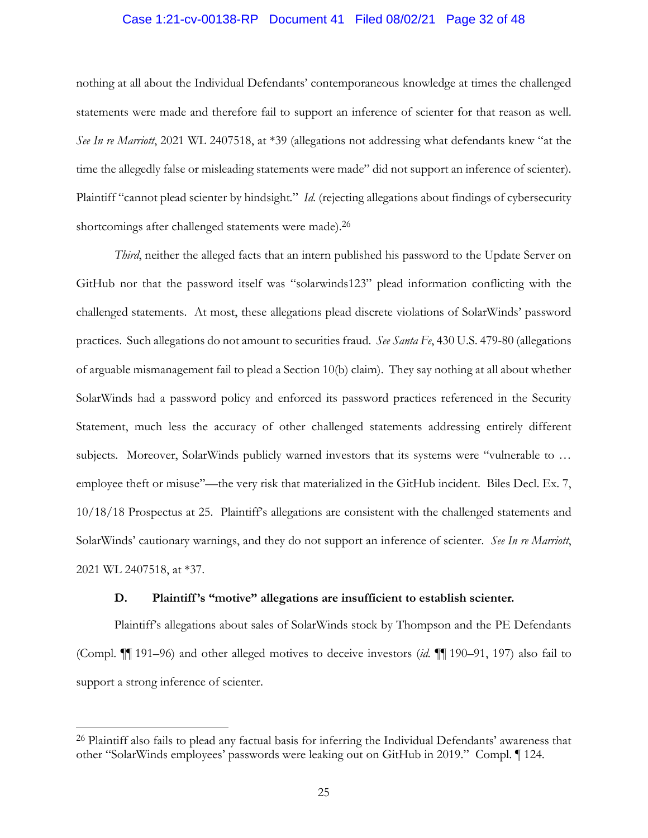#### Case 1:21-cv-00138-RP Document 41 Filed 08/02/21 Page 32 of 48

nothing at all about the Individual Defendants' contemporaneous knowledge at times the challenged statements were made and therefore fail to support an inference of scienter for that reason as well. *See In re Marriott*, 2021 WL 2407518, at \*39 (allegations not addressing what defendants knew "at the time the allegedly false or misleading statements were made" did not support an inference of scienter). Plaintiff "cannot plead scienter by hindsight*.*" *Id.* (rejecting allegations about findings of cybersecurity shortcomings after challenged statements were made).26

*Third*, neither the alleged facts that an intern published his password to the Update Server on GitHub nor that the password itself was "solarwinds123" plead information conflicting with the challenged statements. At most, these allegations plead discrete violations of SolarWinds' password practices. Such allegations do not amount to securities fraud. *See Santa Fe*, 430 U.S. 479-80 (allegations of arguable mismanagement fail to plead a Section 10(b) claim). They say nothing at all about whether SolarWinds had a password policy and enforced its password practices referenced in the Security Statement, much less the accuracy of other challenged statements addressing entirely different subjects. Moreover, SolarWinds publicly warned investors that its systems were "vulnerable to … employee theft or misuse"—the very risk that materialized in the GitHub incident. Biles Decl. Ex. 7, 10/18/18 Prospectus at 25. Plaintiff's allegations are consistent with the challenged statements and SolarWinds' cautionary warnings, and they do not support an inference of scienter. *See In re Marriott*, 2021 WL 2407518, at \*37.

#### **D. Plaintiff 's "motive" allegations are insufficient to establish scienter.**

Plaintiff's allegations about sales of SolarWinds stock by Thompson and the PE Defendants (Compl. ¶¶ 191–96) and other alleged motives to deceive investors (*id.* ¶¶ 190–91, 197) also fail to support a strong inference of scienter.

<sup>26</sup> Plaintiff also fails to plead any factual basis for inferring the Individual Defendants' awareness that other "SolarWinds employees' passwords were leaking out on GitHub in 2019." Compl. ¶ 124.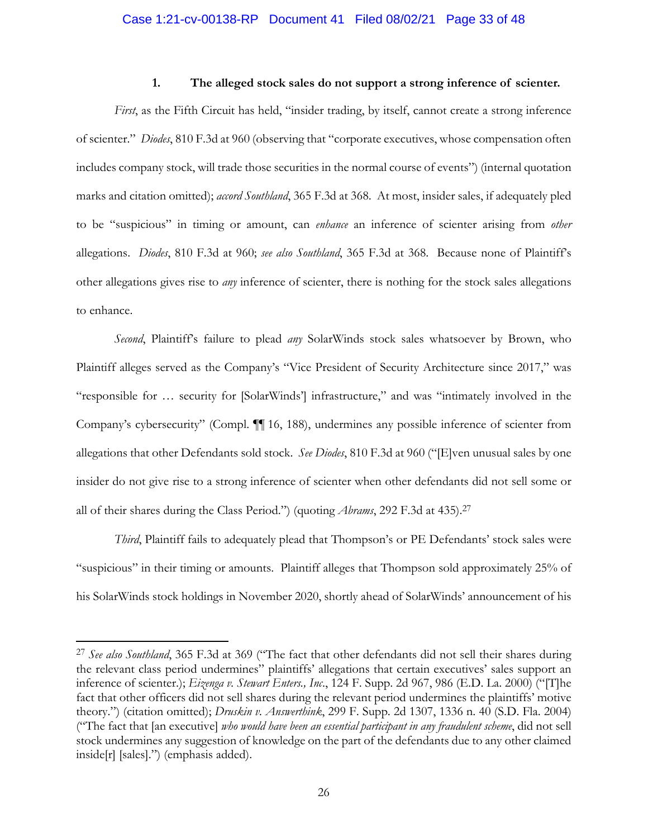#### **1. The alleged stock sales do not support a strong inference of scienter.**

*First*, as the Fifth Circuit has held, "insider trading, by itself, cannot create a strong inference of scienter." *Diodes*, 810 F.3d at 960 (observing that "corporate executives, whose compensation often includes company stock, will trade those securities in the normal course of events") (internal quotation marks and citation omitted); *accord Southland*, 365 F.3d at 368. At most, insider sales, if adequately pled to be "suspicious" in timing or amount, can *enhance* an inference of scienter arising from *other* allegations. *Diodes*, 810 F.3d at 960; *see also Southland*, 365 F.3d at 368. Because none of Plaintiff's other allegations gives rise to *any* inference of scienter, there is nothing for the stock sales allegations to enhance.

*Second*, Plaintiff's failure to plead *any* SolarWinds stock sales whatsoever by Brown, who Plaintiff alleges served as the Company's "Vice President of Security Architecture since 2017," was "responsible for … security for [SolarWinds'] infrastructure," and was "intimately involved in the Company's cybersecurity" (Compl. ¶¶ 16, 188), undermines any possible inference of scienter from allegations that other Defendants sold stock. *See Diodes*, 810 F.3d at 960 ("[E]ven unusual sales by one insider do not give rise to a strong inference of scienter when other defendants did not sell some or all of their shares during the Class Period.") (quoting *Abrams*, 292 F.3d at 435).27

*Third*, Plaintiff fails to adequately plead that Thompson's or PE Defendants' stock sales were "suspicious" in their timing or amounts. Plaintiff alleges that Thompson sold approximately 25% of his SolarWinds stock holdings in November 2020, shortly ahead of SolarWinds' announcement of his

<sup>27</sup> *See also Southland*, 365 F.3d at 369 ("The fact that other defendants did not sell their shares during the relevant class period undermines" plaintiffs' allegations that certain executives' sales support an inference of scienter.); *Eizenga v. Stewart Enters., Inc*., 124 F. Supp. 2d 967, 986 (E.D. La. 2000) ("[T]he fact that other officers did not sell shares during the relevant period undermines the plaintiffs' motive theory.") (citation omitted); *Druskin v. Answerthink*, 299 F. Supp. 2d 1307, 1336 n. 40 (S.D. Fla. 2004) ("The fact that [an executive] *who would have been an essential participant in any fraudulent scheme*, did not sell stock undermines any suggestion of knowledge on the part of the defendants due to any other claimed inside[r] [sales].") (emphasis added).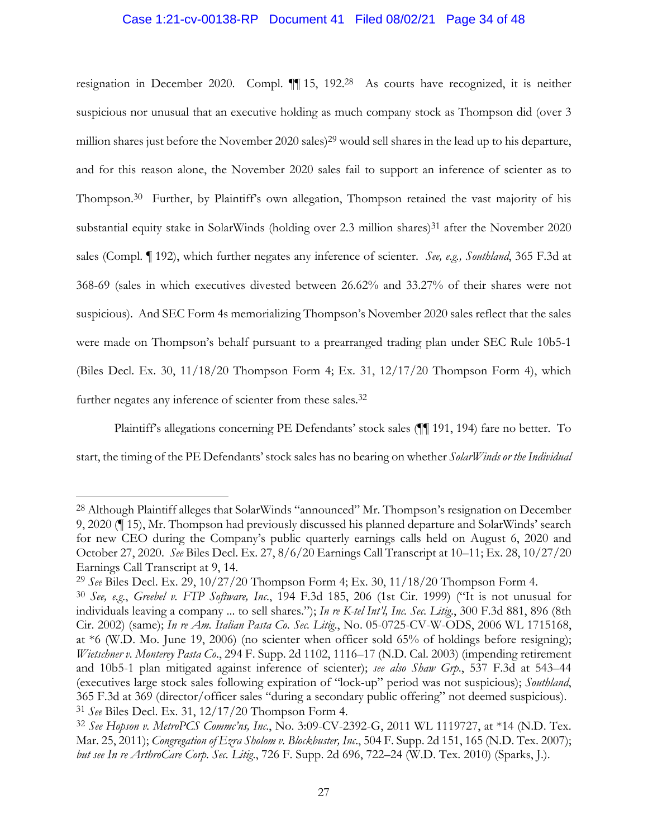#### Case 1:21-cv-00138-RP Document 41 Filed 08/02/21 Page 34 of 48

resignation in December 2020. Compl. ¶¶ 15, 192.28 As courts have recognized, it is neither suspicious nor unusual that an executive holding as much company stock as Thompson did (over 3 million shares just before the November 2020 sales)<sup>29</sup> would sell shares in the lead up to his departure, and for this reason alone, the November 2020 sales fail to support an inference of scienter as to Thompson.<sup>30</sup> Further, by Plaintiff's own allegation, Thompson retained the vast majority of his substantial equity stake in SolarWinds (holding over 2.3 million shares)<sup>31</sup> after the November 2020 sales (Compl. ¶ 192), which further negates any inference of scienter. *See, e.g., Southland*, 365 F.3d at 368-69 (sales in which executives divested between 26.62% and 33.27% of their shares were not suspicious). And SEC Form 4s memorializing Thompson's November 2020 sales reflect that the sales were made on Thompson's behalf pursuant to a prearranged trading plan under SEC Rule 10b5-1 (Biles Decl. Ex. 30, 11/18/20 Thompson Form 4; Ex. 31, 12/17/20 Thompson Form 4), which further negates any inference of scienter from these sales.<sup>32</sup>

Plaintiff's allegations concerning PE Defendants' stock sales (¶¶ 191, 194) fare no better. To start, the timing of the PE Defendants' stock sales has no bearing on whether *SolarWinds or the Individual* 

<sup>28</sup> Although Plaintiff alleges that SolarWinds "announced" Mr. Thompson's resignation on December 9, 2020 (¶ 15), Mr. Thompson had previously discussed his planned departure and SolarWinds' search for new CEO during the Company's public quarterly earnings calls held on August 6, 2020 and October 27, 2020. *See* Biles Decl. Ex. 27, 8/6/20 Earnings Call Transcript at 10–11; Ex. 28, 10/27/20 Earnings Call Transcript at 9, 14.

<sup>29</sup> *See* Biles Decl. Ex. 29, 10/27/20 Thompson Form 4; Ex. 30, 11/18/20 Thompson Form 4.

<sup>30</sup> *See, e.g.*, *Greebel v. FTP Software, Inc*., 194 F.3d 185, 206 (1st Cir. 1999) ("It is not unusual for individuals leaving a company ... to sell shares."); *In re K-tel Int'l, Inc. Sec. Litig*., 300 F.3d 881, 896 (8th Cir. 2002) (same); *In re Am. Italian Pasta Co. Sec. Litig*., No. 05-0725-CV-W-ODS, 2006 WL 1715168, at \*6 (W.D. Mo. June 19, 2006) (no scienter when officer sold 65% of holdings before resigning); *Wietschner v. Monterey Pasta Co*., 294 F. Supp. 2d 1102, 1116–17 (N.D. Cal. 2003) (impending retirement and 10b5-1 plan mitigated against inference of scienter); *see also Shaw Grp*., 537 F.3d at 543–44 (executives large stock sales following expiration of "lock-up" period was not suspicious); *Southland*, 365 F.3d at 369 (director/officer sales "during a secondary public offering" not deemed suspicious). 31 *See* Biles Decl. Ex. 31, 12/17/20 Thompson Form 4.

<sup>32</sup> *See Hopson v. MetroPCS Commc'ns, Inc*., No. 3:09-CV-2392-G, 2011 WL 1119727, at \*14 (N.D. Tex. Mar. 25, 2011); *Congregation of Ezra Sholom v. Blockbuster, Inc*., 504 F. Supp. 2d 151, 165 (N.D. Tex. 2007); *but see In re ArthroCare Corp. Sec. Litig*., 726 F. Supp. 2d 696, 722–24 (W.D. Tex. 2010) (Sparks, J.).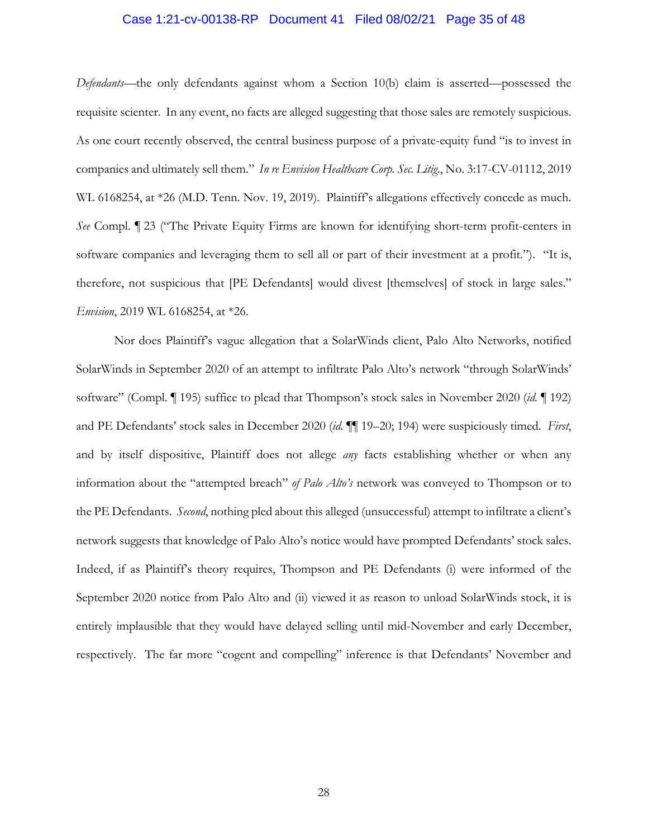# Case 1:21-cv-00138-RP Document 41 Filed 08/02/21 Page 35 of 48

*Defendants*—the only defendants against whom a Section 10(b) claim is asserted—possessed the requisite scienter. In any event, no facts are alleged suggesting that those sales are remotely suspicious. As one court recently observed, the central business purpose of a private-equity fund "is to invest in companies and ultimately sell them." *In re Envision Healthcare Corp. Sec. Litig*., No. 3:17-CV-01112, 2019 WL 6168254, at \*26 (M.D. Tenn. Nov. 19, 2019). Plaintiff's allegations effectively concede as much. *See* Compl. ¶ 23 ("The Private Equity Firms are known for identifying short-term profit-centers in software companies and leveraging them to sell all or part of their investment at a profit."). "It is, therefore, not suspicious that [PE Defendants] would divest [themselves] of stock in large sales." *Envision*, 2019 WL 6168254, at \*26.

Nor does Plaintiff's vague allegation that a SolarWinds client, Palo Alto Networks, notified SolarWinds in September 2020 of an attempt to infiltrate Palo Alto's network "through SolarWinds' software" (Compl. ¶ 195) suffice to plead that Thompson's stock sales in November 2020 (*id.* ¶ 192) and PE Defendants' stock sales in December 2020 (*id.* ¶¶ 19–20; 194) were suspiciously timed. *First*, and by itself dispositive, Plaintiff does not allege *any* facts establishing whether or when any information about the "attempted breach" *of Palo Alto's* network was conveyed to Thompson or to the PE Defendants. *Second*, nothing pled about this alleged (unsuccessful) attempt to infiltrate a client's network suggests that knowledge of Palo Alto's notice would have prompted Defendants' stock sales. Indeed, if as Plaintiff's theory requires, Thompson and PE Defendants (i) were informed of the September 2020 notice from Palo Alto and (ii) viewed it as reason to unload SolarWinds stock, it is entirely implausible that they would have delayed selling until mid-November and early December, respectively. The far more "cogent and compelling" inference is that Defendants' November and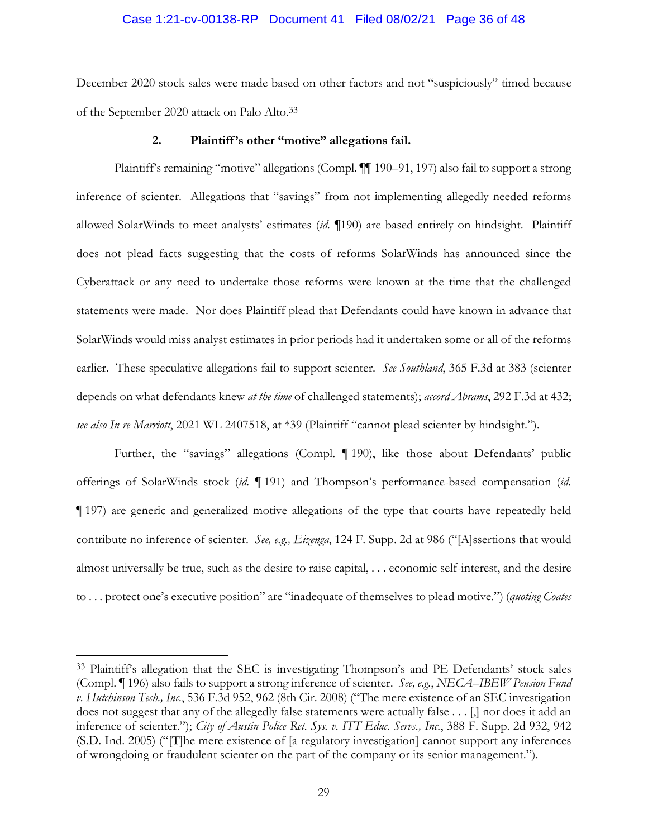#### Case 1:21-cv-00138-RP Document 41 Filed 08/02/21 Page 36 of 48

December 2020 stock sales were made based on other factors and not "suspiciously" timed because of the September 2020 attack on Palo Alto.33

#### **2. Plaintiff 's other "motive" allegations fail.**

Plaintiff's remaining "motive" allegations (Compl. [1] 190-91, 197) also fail to support a strong inference of scienter. Allegations that "savings" from not implementing allegedly needed reforms allowed SolarWinds to meet analysts' estimates (*id.* ¶190) are based entirely on hindsight. Plaintiff does not plead facts suggesting that the costs of reforms SolarWinds has announced since the Cyberattack or any need to undertake those reforms were known at the time that the challenged statements were made. Nor does Plaintiff plead that Defendants could have known in advance that SolarWinds would miss analyst estimates in prior periods had it undertaken some or all of the reforms earlier. These speculative allegations fail to support scienter. *See Southland*, 365 F.3d at 383 (scienter depends on what defendants knew *at the time* of challenged statements); *accord Abrams*, 292 F.3d at 432; *see also In re Marriott*, 2021 WL 2407518, at \*39 (Plaintiff "cannot plead scienter by hindsight.").

Further, the "savings" allegations (Compl. ¶ 190), like those about Defendants' public offerings of SolarWinds stock (*id.* ¶ 191) and Thompson's performance-based compensation (*id.*  ¶ 197) are generic and generalized motive allegations of the type that courts have repeatedly held contribute no inference of scienter. *See, e.g., Eizenga*, 124 F. Supp. 2d at 986 ("[A]ssertions that would almost universally be true, such as the desire to raise capital, . . . economic self-interest, and the desire to . . . protect one's executive position" are "inadequate of themselves to plead motive.") (*quoting Coates* 

<sup>33</sup> Plaintiff's allegation that the SEC is investigating Thompson's and PE Defendants' stock sales (Compl. ¶ 196) also fails to support a strong inference of scienter. *See, e.g.*, *NECA–IBEW Pension Fund v. Hutchinson Tech., Inc.*, 536 F.3d 952, 962 (8th Cir. 2008) ("The mere existence of an SEC investigation does not suggest that any of the allegedly false statements were actually false . . . [,] nor does it add an inference of scienter."); *City of Austin Police Ret. Sys. v. ITT Educ. Servs., Inc.*, 388 F. Supp. 2d 932, 942 (S.D. Ind. 2005) ("[T]he mere existence of [a regulatory investigation] cannot support any inferences of wrongdoing or fraudulent scienter on the part of the company or its senior management.").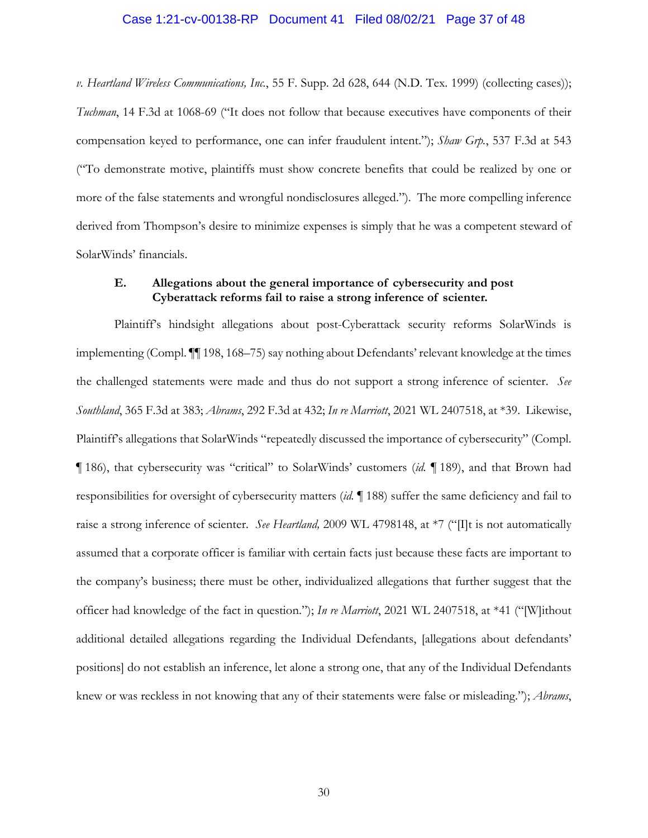# Case 1:21-cv-00138-RP Document 41 Filed 08/02/21 Page 37 of 48

*v. Heartland Wireless Communications, Inc.*, 55 F. Supp. 2d 628, 644 (N.D. Tex. 1999) (collecting cases)); *Tuchman*, 14 F.3d at 1068-69 ("It does not follow that because executives have components of their compensation keyed to performance, one can infer fraudulent intent."); *Shaw Grp.*, 537 F.3d at 543 ("To demonstrate motive, plaintiffs must show concrete benefits that could be realized by one or more of the false statements and wrongful nondisclosures alleged."). The more compelling inference derived from Thompson's desire to minimize expenses is simply that he was a competent steward of SolarWinds' financials.

### **E. Allegations about the general importance of cybersecurity and post Cyberattack reforms fail to raise a strong inference of scienter.**

Plaintiff's hindsight allegations about post-Cyberattack security reforms SolarWinds is implementing (Compl. ¶¶ 198, 168–75) say nothing about Defendants' relevant knowledge at the times the challenged statements were made and thus do not support a strong inference of scienter. *See Southland*, 365 F.3d at 383; *Abrams*, 292 F.3d at 432; *In re Marriott*, 2021 WL 2407518, at \*39. Likewise, Plaintiff's allegations that SolarWinds "repeatedly discussed the importance of cybersecurity" (Compl. ¶ 186), that cybersecurity was "critical" to SolarWinds' customers (*id.* ¶ 189), and that Brown had responsibilities for oversight of cybersecurity matters (*id.* ¶ 188) suffer the same deficiency and fail to raise a strong inference of scienter. *See Heartland,* 2009 WL 4798148, at \*7 ("[I]t is not automatically assumed that a corporate officer is familiar with certain facts just because these facts are important to the company's business; there must be other, individualized allegations that further suggest that the officer had knowledge of the fact in question."); *In re Marriott*, 2021 WL 2407518, at \*41 ("[W]ithout additional detailed allegations regarding the Individual Defendants, [allegations about defendants' positions] do not establish an inference, let alone a strong one, that any of the Individual Defendants knew or was reckless in not knowing that any of their statements were false or misleading."); *Abrams*,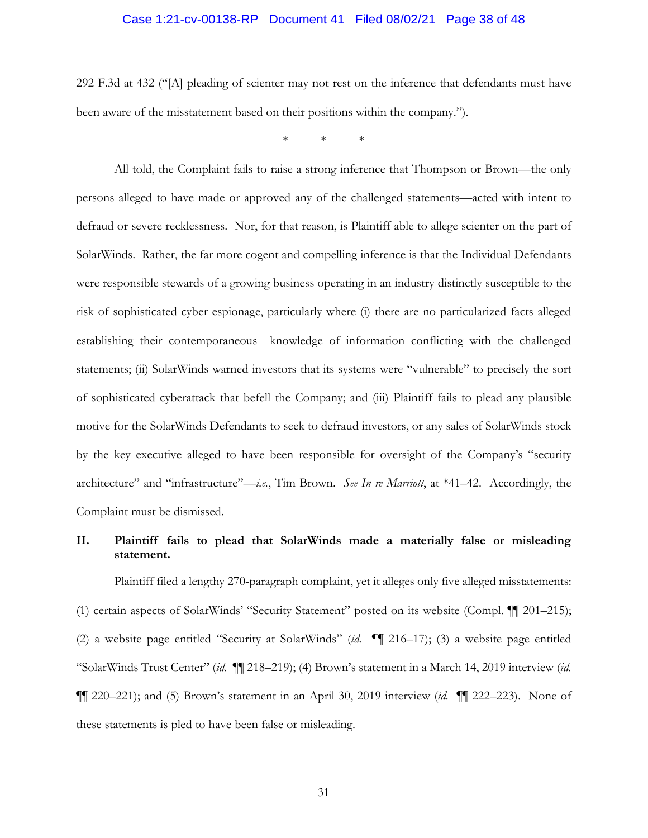#### Case 1:21-cv-00138-RP Document 41 Filed 08/02/21 Page 38 of 48

292 F.3d at 432 ("[A] pleading of scienter may not rest on the inference that defendants must have been aware of the misstatement based on their positions within the company.").

\* \* \*

All told, the Complaint fails to raise a strong inference that Thompson or Brown—the only persons alleged to have made or approved any of the challenged statements—acted with intent to defraud or severe recklessness. Nor, for that reason, is Plaintiff able to allege scienter on the part of SolarWinds. Rather, the far more cogent and compelling inference is that the Individual Defendants were responsible stewards of a growing business operating in an industry distinctly susceptible to the risk of sophisticated cyber espionage, particularly where (i) there are no particularized facts alleged establishing their contemporaneous knowledge of information conflicting with the challenged statements; (ii) SolarWinds warned investors that its systems were "vulnerable" to precisely the sort of sophisticated cyberattack that befell the Company; and (iii) Plaintiff fails to plead any plausible motive for the SolarWinds Defendants to seek to defraud investors, or any sales of SolarWinds stock by the key executive alleged to have been responsible for oversight of the Company's "security architecture" and "infrastructure"—*i.e.*, Tim Brown. *See In re Marriott*, at \*41–42. Accordingly, the Complaint must be dismissed.

## **II. Plaintiff fails to plead that SolarWinds made a materially false or misleading statement.**

Plaintiff filed a lengthy 270-paragraph complaint, yet it alleges only five alleged misstatements: (1) certain aspects of SolarWinds' "Security Statement" posted on its website (Compl. ¶¶ 201–215); (2) a website page entitled "Security at SolarWinds" (*id.* ¶¶ 216–17); (3) a website page entitled "SolarWinds Trust Center" (*id.* ¶¶ 218–219); (4) Brown's statement in a March 14, 2019 interview (*id.*  ¶¶ 220–221); and (5) Brown's statement in an April 30, 2019 interview (*id.* ¶¶ 222–223). None of these statements is pled to have been false or misleading.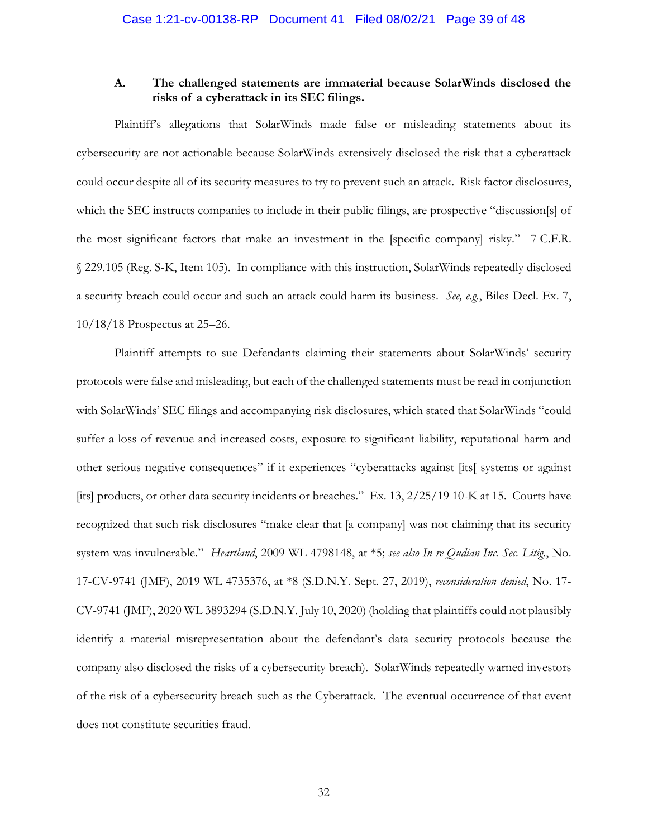#### **A. The challenged statements are immaterial because SolarWinds disclosed the risks of a cyberattack in its SEC filings.**

Plaintiff's allegations that SolarWinds made false or misleading statements about its cybersecurity are not actionable because SolarWinds extensively disclosed the risk that a cyberattack could occur despite all of its security measures to try to prevent such an attack. Risk factor disclosures, which the SEC instructs companies to include in their public filings, are prospective "discussion[s] of the most significant factors that make an investment in the [specific company] risky." 7 C.F.R. § 229.105 (Reg. S-K, Item 105). In compliance with this instruction, SolarWinds repeatedly disclosed a security breach could occur and such an attack could harm its business. *See, e.g.*, Biles Decl. Ex. 7, 10/18/18 Prospectus at 25–26.

Plaintiff attempts to sue Defendants claiming their statements about SolarWinds' security protocols were false and misleading, but each of the challenged statements must be read in conjunction with SolarWinds' SEC filings and accompanying risk disclosures, which stated that SolarWinds "could suffer a loss of revenue and increased costs, exposure to significant liability, reputational harm and other serious negative consequences" if it experiences "cyberattacks against [its[ systems or against [its] products, or other data security incidents or breaches." Ex. 13, 2/25/19 10-K at 15. Courts have recognized that such risk disclosures "make clear that [a company] was not claiming that its security system was invulnerable." *Heartland*, 2009 WL 4798148, at \*5; *see also In re Qudian Inc. Sec. Litig.*, No. 17-CV-9741 (JMF), 2019 WL 4735376, at \*8 (S.D.N.Y. Sept. 27, 2019), *reconsideration denied*, No. 17- CV-9741 (JMF), 2020 WL 3893294 (S.D.N.Y. July 10, 2020) (holding that plaintiffs could not plausibly identify a material misrepresentation about the defendant's data security protocols because the company also disclosed the risks of a cybersecurity breach). SolarWinds repeatedly warned investors of the risk of a cybersecurity breach such as the Cyberattack. The eventual occurrence of that event does not constitute securities fraud.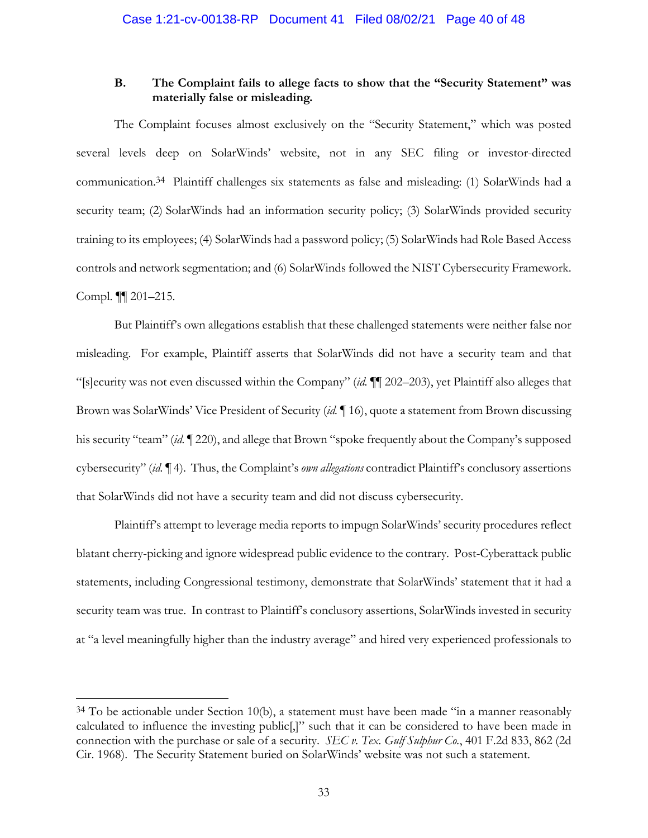## **B. The Complaint fails to allege facts to show that the "Security Statement" was materially false or misleading.**

The Complaint focuses almost exclusively on the "Security Statement," which was posted several levels deep on SolarWinds' website, not in any SEC filing or investor-directed communication.34 Plaintiff challenges six statements as false and misleading: (1) SolarWinds had a security team; (2) SolarWinds had an information security policy; (3) SolarWinds provided security training to its employees; (4) SolarWinds had a password policy; (5) SolarWinds had Role Based Access controls and network segmentation; and (6) SolarWinds followed the NIST Cybersecurity Framework. Compl. ¶¶ 201–215.

But Plaintiff's own allegations establish that these challenged statements were neither false nor misleading. For example, Plaintiff asserts that SolarWinds did not have a security team and that "[s]ecurity was not even discussed within the Company" (*id.* ¶¶ 202–203), yet Plaintiff also alleges that Brown was SolarWinds' Vice President of Security (*id.* ¶ 16), quote a statement from Brown discussing his security "team" (*id.* ¶ 220), and allege that Brown "spoke frequently about the Company's supposed cybersecurity" (*id.* ¶ 4). Thus, the Complaint's *own allegations* contradict Plaintiff's conclusory assertions that SolarWinds did not have a security team and did not discuss cybersecurity.

Plaintiff's attempt to leverage media reports to impugn SolarWinds' security procedures reflect blatant cherry-picking and ignore widespread public evidence to the contrary. Post-Cyberattack public statements, including Congressional testimony, demonstrate that SolarWinds' statement that it had a security team was true. In contrast to Plaintiff's conclusory assertions, SolarWinds invested in security at "a level meaningfully higher than the industry average" and hired very experienced professionals to

 $34$  To be actionable under Section 10(b), a statement must have been made "in a manner reasonably calculated to influence the investing public[,]" such that it can be considered to have been made in connection with the purchase or sale of a security. *SEC v. Tex. Gulf Sulphur Co.*, 401 F.2d 833, 862 (2d Cir. 1968). The Security Statement buried on SolarWinds' website was not such a statement.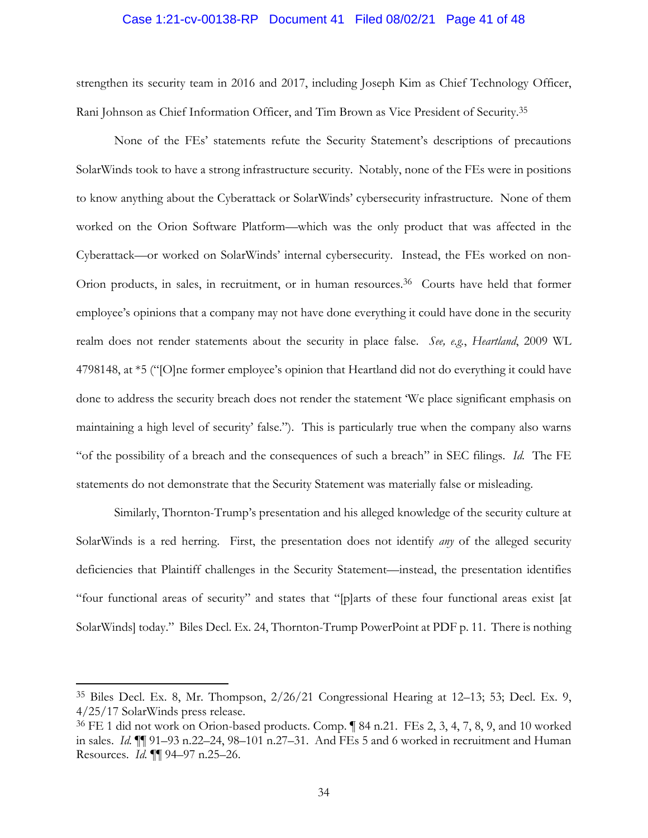#### Case 1:21-cv-00138-RP Document 41 Filed 08/02/21 Page 41 of 48

strengthen its security team in 2016 and 2017, including Joseph Kim as Chief Technology Officer, Rani Johnson as Chief Information Officer, and Tim Brown as Vice President of Security.35

None of the FEs' statements refute the Security Statement's descriptions of precautions SolarWinds took to have a strong infrastructure security. Notably, none of the FEs were in positions to know anything about the Cyberattack or SolarWinds' cybersecurity infrastructure. None of them worked on the Orion Software Platform—which was the only product that was affected in the Cyberattack—or worked on SolarWinds' internal cybersecurity. Instead, the FEs worked on non-Orion products, in sales, in recruitment, or in human resources.<sup>36</sup> Courts have held that former employee's opinions that a company may not have done everything it could have done in the security realm does not render statements about the security in place false. *See, e.g.*, *Heartland*, 2009 WL 4798148, at \*5 ("[O]ne former employee's opinion that Heartland did not do everything it could have done to address the security breach does not render the statement 'We place significant emphasis on maintaining a high level of security' false."). This is particularly true when the company also warns "of the possibility of a breach and the consequences of such a breach" in SEC filings. *Id.* The FE statements do not demonstrate that the Security Statement was materially false or misleading.

Similarly, Thornton-Trump's presentation and his alleged knowledge of the security culture at SolarWinds is a red herring. First, the presentation does not identify *any* of the alleged security deficiencies that Plaintiff challenges in the Security Statement—instead, the presentation identifies "four functional areas of security" and states that "[p]arts of these four functional areas exist [at SolarWinds] today." Biles Decl. Ex. 24, Thornton-Trump PowerPoint at PDF p. 11. There is nothing

<sup>35</sup> Biles Decl. Ex. 8, Mr. Thompson, 2/26/21 Congressional Hearing at 12–13; 53; Decl. Ex. 9, 4/25/17 SolarWinds press release.

<sup>36</sup> FE 1 did not work on Orion-based products. Comp. ¶ 84 n.21. FEs 2, 3, 4, 7, 8, 9, and 10 worked in sales. *Id.* ¶¶ 91–93 n.22–24, 98–101 n.27–31. And FEs 5 and 6 worked in recruitment and Human Resources. *Id.* ¶¶ 94–97 n.25–26.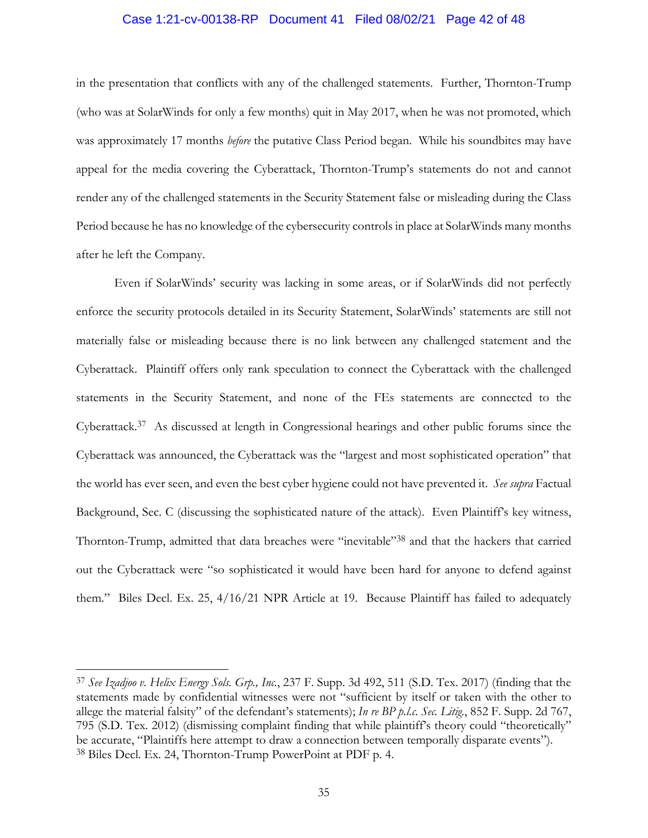#### Case 1:21-cv-00138-RP Document 41 Filed 08/02/21 Page 42 of 48

in the presentation that conflicts with any of the challenged statements. Further, Thornton-Trump (who was at SolarWinds for only a few months) quit in May 2017, when he was not promoted, which was approximately 17 months *before* the putative Class Period began. While his soundbites may have appeal for the media covering the Cyberattack, Thornton-Trump's statements do not and cannot render any of the challenged statements in the Security Statement false or misleading during the Class Period because he has no knowledge of the cybersecurity controls in place at SolarWinds many months after he left the Company.

Even if SolarWinds' security was lacking in some areas, or if SolarWinds did not perfectly enforce the security protocols detailed in its Security Statement, SolarWinds' statements are still not materially false or misleading because there is no link between any challenged statement and the Cyberattack. Plaintiff offers only rank speculation to connect the Cyberattack with the challenged statements in the Security Statement, and none of the FEs statements are connected to the Cyberattack.37 As discussed at length in Congressional hearings and other public forums since the Cyberattack was announced, the Cyberattack was the "largest and most sophisticated operation" that the world has ever seen, and even the best cyber hygiene could not have prevented it. *See supra* Factual Background, Sec. C (discussing the sophisticated nature of the attack). Even Plaintiff's key witness, Thornton-Trump, admitted that data breaches were "inevitable"38 and that the hackers that carried out the Cyberattack were "so sophisticated it would have been hard for anyone to defend against them." Biles Decl. Ex. 25, 4/16/21 NPR Article at 19. Because Plaintiff has failed to adequately

<sup>37</sup> *See Izadjoo v. Helix Energy Sols. Grp., Inc.*, 237 F. Supp. 3d 492, 511 (S.D. Tex. 2017) (finding that the statements made by confidential witnesses were not "sufficient by itself or taken with the other to allege the material falsity" of the defendant's statements); *In re BP p.l.c. Sec. Litig.*, 852 F. Supp. 2d 767, 795 (S.D. Tex. 2012) (dismissing complaint finding that while plaintiff's theory could "theoretically" be accurate, "Plaintiffs here attempt to draw a connection between temporally disparate events"). 38 Biles Decl. Ex. 24, Thornton-Trump PowerPoint at PDF p. 4.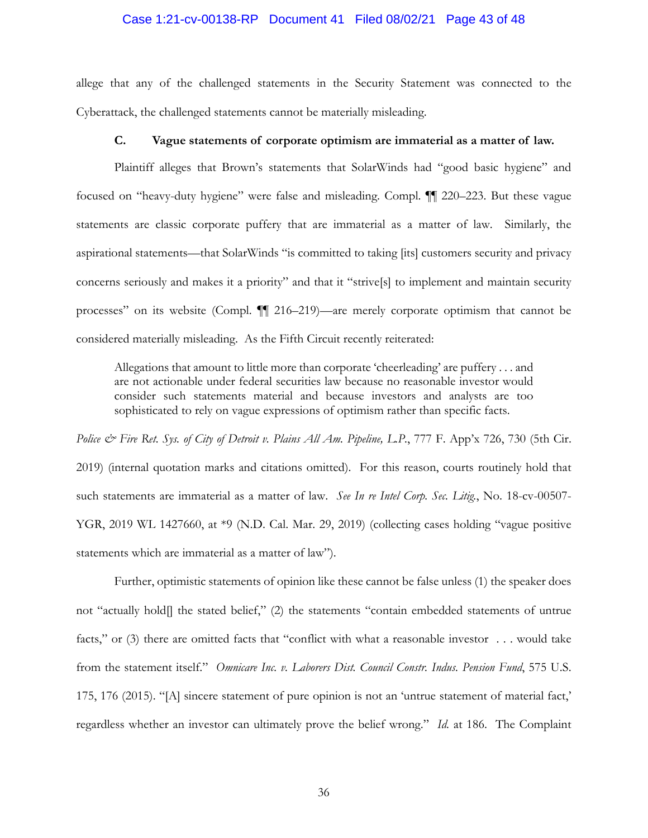#### Case 1:21-cv-00138-RP Document 41 Filed 08/02/21 Page 43 of 48

allege that any of the challenged statements in the Security Statement was connected to the Cyberattack, the challenged statements cannot be materially misleading.

### **C. Vague statements of corporate optimism are immaterial as a matter of law.**

Plaintiff alleges that Brown's statements that SolarWinds had "good basic hygiene" and focused on "heavy-duty hygiene" were false and misleading. Compl. ¶¶ 220–223. But these vague statements are classic corporate puffery that are immaterial as a matter of law. Similarly, the aspirational statements—that SolarWinds "is committed to taking [its] customers security and privacy concerns seriously and makes it a priority" and that it "strive[s] to implement and maintain security processes" on its website (Compl. ¶¶ 216–219)—are merely corporate optimism that cannot be considered materially misleading. As the Fifth Circuit recently reiterated:

Allegations that amount to little more than corporate 'cheerleading' are puffery . . . and are not actionable under federal securities law because no reasonable investor would consider such statements material and because investors and analysts are too sophisticated to rely on vague expressions of optimism rather than specific facts.

*Police & Fire Ret. Sys. of City of Detroit v. Plains All Am. Pipeline, L.P.*, 777 F. App'x 726, 730 (5th Cir. 2019) (internal quotation marks and citations omitted). For this reason, courts routinely hold that such statements are immaterial as a matter of law. *See In re Intel Corp. Sec. Litig.*, No. 18-cv-00507- YGR, 2019 WL 1427660, at \*9 (N.D. Cal. Mar. 29, 2019) (collecting cases holding "vague positive statements which are immaterial as a matter of law").

Further, optimistic statements of opinion like these cannot be false unless (1) the speaker does not "actually hold[] the stated belief," (2) the statements "contain embedded statements of untrue facts," or (3) there are omitted facts that "conflict with what a reasonable investor . . . would take from the statement itself." *Omnicare Inc. v. Laborers Dist. Council Constr. Indus. Pension Fund*, 575 U.S. 175, 176 (2015). "[A] sincere statement of pure opinion is not an 'untrue statement of material fact,' regardless whether an investor can ultimately prove the belief wrong." *Id.* at 186. The Complaint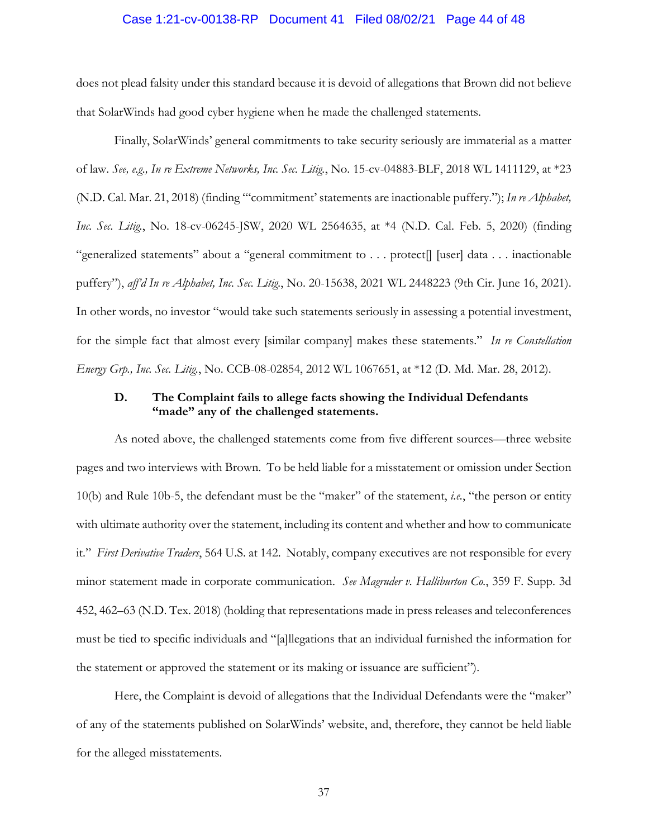#### Case 1:21-cv-00138-RP Document 41 Filed 08/02/21 Page 44 of 48

does not plead falsity under this standard because it is devoid of allegations that Brown did not believe that SolarWinds had good cyber hygiene when he made the challenged statements.

Finally, SolarWinds' general commitments to take security seriously are immaterial as a matter of law. *See, e.g., In re Extreme Networks, Inc. Sec. Litig.*, No. 15-cv-04883-BLF, 2018 WL 1411129, at \*23 (N.D. Cal. Mar. 21, 2018) (finding "'commitment' statements are inactionable puffery."); *In re Alphabet, Inc. Sec. Litig.*, No. 18-cv-06245-JSW, 2020 WL 2564635, at \*4 (N.D. Cal. Feb. 5, 2020) (finding "generalized statements" about a "general commitment to . . . protect[] [user] data . . . inactionable puffery"), *aff'd In re Alphabet, Inc. Sec. Litig.*, No. 20-15638, 2021 WL 2448223 (9th Cir. June 16, 2021). In other words, no investor "would take such statements seriously in assessing a potential investment, for the simple fact that almost every [similar company] makes these statements." *In re Constellation Energy Grp., Inc. Sec. Litig.*, No. CCB-08-02854, 2012 WL 1067651, at \*12 (D. Md. Mar. 28, 2012).

#### **D. The Complaint fails to allege facts showing the Individual Defendants "made" any of the challenged statements.**

As noted above, the challenged statements come from five different sources—three website pages and two interviews with Brown. To be held liable for a misstatement or omission under Section 10(b) and Rule 10b-5, the defendant must be the "maker" of the statement, *i.e.*, "the person or entity with ultimate authority over the statement, including its content and whether and how to communicate it." *First Derivative Traders*, 564 U.S. at 142. Notably, company executives are not responsible for every minor statement made in corporate communication. *See Magruder v. Halliburton Co.*, 359 F. Supp. 3d 452, 462–63 (N.D. Tex. 2018) (holding that representations made in press releases and teleconferences must be tied to specific individuals and "[a]llegations that an individual furnished the information for the statement or approved the statement or its making or issuance are sufficient").

Here, the Complaint is devoid of allegations that the Individual Defendants were the "maker" of any of the statements published on SolarWinds' website, and, therefore, they cannot be held liable for the alleged misstatements.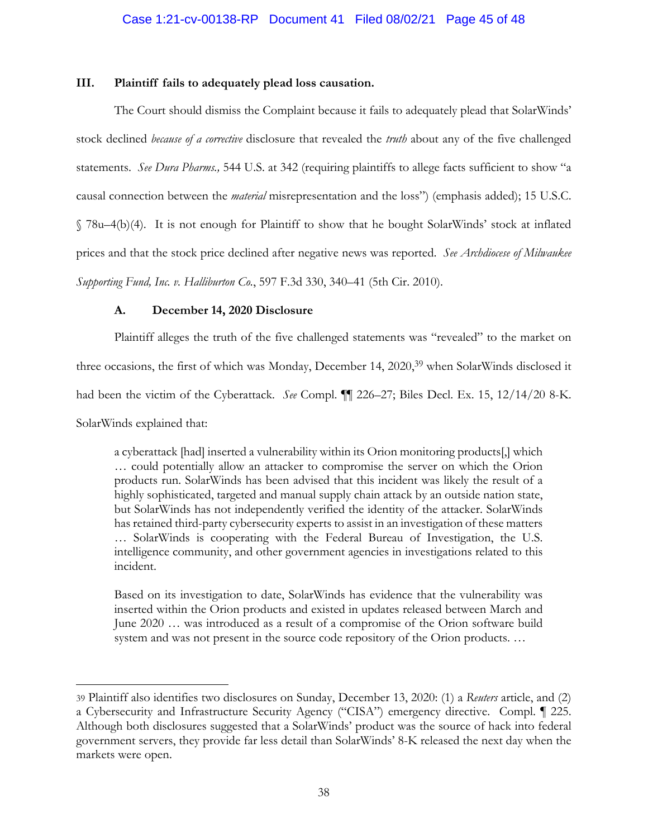#### **III. Plaintiff fails to adequately plead loss causation.**

The Court should dismiss the Complaint because it fails to adequately plead that SolarWinds' stock declined *because of a corrective* disclosure that revealed the *truth* about any of the five challenged statements. *See Dura Pharms.*, 544 U.S. at 342 (requiring plaintiffs to allege facts sufficient to show "a causal connection between the *material* misrepresentation and the loss") (emphasis added); 15 U.S.C. § 78u–4(b)(4). It is not enough for Plaintiff to show that he bought SolarWinds' stock at inflated prices and that the stock price declined after negative news was reported. *See Archdiocese of Milwaukee Supporting Fund, Inc. v. Halliburton Co.*, 597 F.3d 330, 340–41 (5th Cir. 2010).

## **A. December 14, 2020 Disclosure**

Plaintiff alleges the truth of the five challenged statements was "revealed" to the market on three occasions, the first of which was Monday, December 14, 2020,<sup>39</sup> when SolarWinds disclosed it had been the victim of the Cyberattack. *See* Compl. ¶¶ 226–27; Biles Decl. Ex. 15, 12/14/20 8-K. SolarWinds explained that:

a cyberattack [had] inserted a vulnerability within its Orion monitoring products[,] which … could potentially allow an attacker to compromise the server on which the Orion products run. SolarWinds has been advised that this incident was likely the result of a highly sophisticated, targeted and manual supply chain attack by an outside nation state, but SolarWinds has not independently verified the identity of the attacker. SolarWinds has retained third-party cybersecurity experts to assist in an investigation of these matters … SolarWinds is cooperating with the Federal Bureau of Investigation, the U.S. intelligence community, and other government agencies in investigations related to this incident.

Based on its investigation to date, SolarWinds has evidence that the vulnerability was inserted within the Orion products and existed in updates released between March and June 2020 … was introduced as a result of a compromise of the Orion software build system and was not present in the source code repository of the Orion products. …

<sup>39</sup> Plaintiff also identifies two disclosures on Sunday, December 13, 2020: (1) a *Reuters* article, and (2) a Cybersecurity and Infrastructure Security Agency ("CISA") emergency directive. Compl. ¶ 225. Although both disclosures suggested that a SolarWinds' product was the source of hack into federal government servers, they provide far less detail than SolarWinds' 8-K released the next day when the markets were open.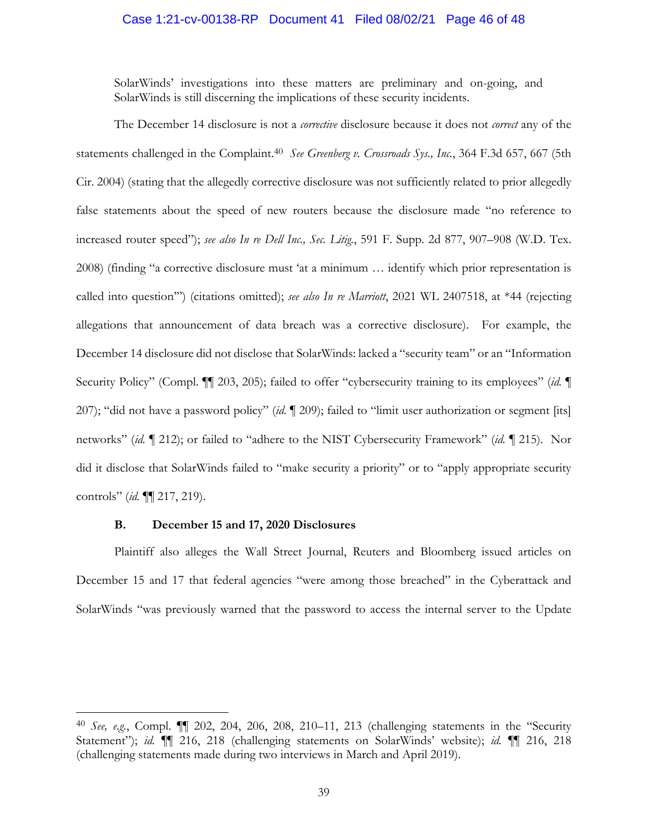#### Case 1:21-cv-00138-RP Document 41 Filed 08/02/21 Page 46 of 48

SolarWinds' investigations into these matters are preliminary and on-going, and SolarWinds is still discerning the implications of these security incidents.

The December 14 disclosure is not a *corrective* disclosure because it does not *correct* any of the statements challenged in the Complaint.40 *See Greenberg v. Crossroads Sys., Inc.*, 364 F.3d 657, 667 (5th Cir. 2004) (stating that the allegedly corrective disclosure was not sufficiently related to prior allegedly false statements about the speed of new routers because the disclosure made "no reference to increased router speed"); *see also In re Dell Inc., Sec. Litig.*, 591 F. Supp. 2d 877, 907–908 (W.D. Tex. 2008) (finding "a corrective disclosure must 'at a minimum … identify which prior representation is called into question'") (citations omitted); *see also In re Marriott*, 2021 WL 2407518, at \*44 (rejecting allegations that announcement of data breach was a corrective disclosure). For example, the December 14 disclosure did not disclose that SolarWinds: lacked a "security team" or an "Information Security Policy" (Compl. ¶¶ 203, 205); failed to offer "cybersecurity training to its employees" (*id.* ¶ 207); "did not have a password policy" (*id.* ¶ 209); failed to "limit user authorization or segment [its] networks" (*id.* ¶ 212); or failed to "adhere to the NIST Cybersecurity Framework" (*id.* ¶ 215). Nor did it disclose that SolarWinds failed to "make security a priority" or to "apply appropriate security controls" (*id.* ¶¶ 217, 219).

#### **B. December 15 and 17, 2020 Disclosures**

Plaintiff also alleges the Wall Street Journal, Reuters and Bloomberg issued articles on December 15 and 17 that federal agencies "were among those breached" in the Cyberattack and SolarWinds "was previously warned that the password to access the internal server to the Update

<sup>40</sup> *See, e.g.*, Compl. ¶¶ 202, 204, 206, 208, 210–11, 213 (challenging statements in the "Security Statement"); *id.* ¶¶ 216, 218 (challenging statements on SolarWinds' website); *id.* ¶¶ 216, 218 (challenging statements made during two interviews in March and April 2019).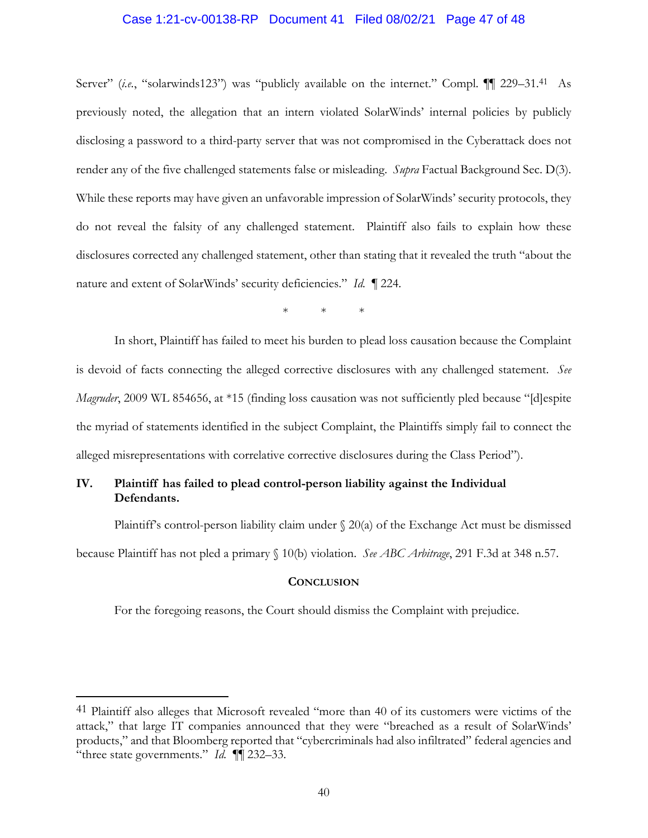#### Case 1:21-cv-00138-RP Document 41 Filed 08/02/21 Page 47 of 48

Server" (*i.e.*, "solarwinds123") was "publicly available on the internet." Compl.  $\P\P$  229–31.<sup>41</sup> As previously noted, the allegation that an intern violated SolarWinds' internal policies by publicly disclosing a password to a third-party server that was not compromised in the Cyberattack does not render any of the five challenged statements false or misleading. *Supra* Factual Background Sec. D(3). While these reports may have given an unfavorable impression of SolarWinds' security protocols, they do not reveal the falsity of any challenged statement. Plaintiff also fails to explain how these disclosures corrected any challenged statement, other than stating that it revealed the truth "about the nature and extent of SolarWinds' security deficiencies." *Id.* ¶ 224.

\* \* \*

In short, Plaintiff has failed to meet his burden to plead loss causation because the Complaint is devoid of facts connecting the alleged corrective disclosures with any challenged statement. *See Magruder*, 2009 WL 854656, at \*15 (finding loss causation was not sufficiently pled because "[d]espite the myriad of statements identified in the subject Complaint, the Plaintiffs simply fail to connect the alleged misrepresentations with correlative corrective disclosures during the Class Period").

# **IV. Plaintiff has failed to plead control-person liability against the Individual Defendants.**

Plaintiff's control-person liability claim under  $\S 20(a)$  of the Exchange Act must be dismissed because Plaintiff has not pled a primary § 10(b) violation. *See ABC Arbitrage*, 291 F.3d at 348 n.57.

#### **CONCLUSION**

For the foregoing reasons, the Court should dismiss the Complaint with prejudice.

<sup>&</sup>lt;sup>41</sup> Plaintiff also alleges that Microsoft revealed "more than 40 of its customers were victims of the attack," that large IT companies announced that they were "breached as a result of SolarWinds' products," and that Bloomberg reported that "cybercriminals had also infiltrated" federal agencies and "three state governments." *Id.* ¶¶ 232–33.